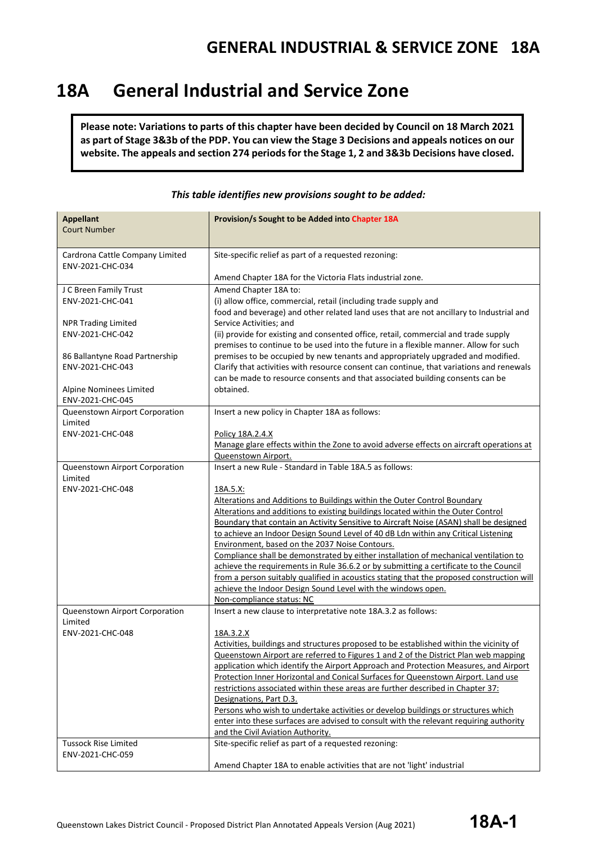# **18A General Industrial and Service Zone**

**Please note: Variations to parts of this chapter have been decided by Council on 18 March 2021 as part of Stage 3&3b of the PDP. You can view the Stage 3 Decisions and appeals notices on our website. The appeals and section 274 periods for the Stage 1, 2 and 3&3b Decisions have closed.**

| <b>Appellant</b><br><b>Court Number</b>             | Provision/s Sought to be Added into Chapter 18A                                                                                                                               |
|-----------------------------------------------------|-------------------------------------------------------------------------------------------------------------------------------------------------------------------------------|
|                                                     |                                                                                                                                                                               |
| Cardrona Cattle Company Limited<br>ENV-2021-CHC-034 | Site-specific relief as part of a requested rezoning:                                                                                                                         |
|                                                     | Amend Chapter 18A for the Victoria Flats industrial zone.                                                                                                                     |
| J C Breen Family Trust                              | Amend Chapter 18A to:                                                                                                                                                         |
| ENV-2021-CHC-041                                    | (i) allow office, commercial, retail (including trade supply and                                                                                                              |
|                                                     | food and beverage) and other related land uses that are not ancillary to Industrial and                                                                                       |
| <b>NPR Trading Limited</b><br>ENV-2021-CHC-042      | Service Activities; and<br>(ii) provide for existing and consented office, retail, commercial and trade supply                                                                |
|                                                     | premises to continue to be used into the future in a flexible manner. Allow for such                                                                                          |
| 86 Ballantyne Road Partnership                      | premises to be occupied by new tenants and appropriately upgraded and modified.                                                                                               |
| ENV-2021-CHC-043                                    | Clarify that activities with resource consent can continue, that variations and renewals                                                                                      |
|                                                     | can be made to resource consents and that associated building consents can be                                                                                                 |
| Alpine Nominees Limited                             | obtained.                                                                                                                                                                     |
| ENV-2021-CHC-045<br>Queenstown Airport Corporation  | Insert a new policy in Chapter 18A as follows:                                                                                                                                |
| Limited                                             |                                                                                                                                                                               |
| ENV-2021-CHC-048                                    | Policy 18A.2.4.X                                                                                                                                                              |
|                                                     | Manage glare effects within the Zone to avoid adverse effects on aircraft operations at                                                                                       |
|                                                     | Queenstown Airport.                                                                                                                                                           |
| Queenstown Airport Corporation<br>Limited           | Insert a new Rule - Standard in Table 18A.5 as follows:                                                                                                                       |
| ENV-2021-CHC-048                                    | 18A.5.X:                                                                                                                                                                      |
|                                                     | Alterations and Additions to Buildings within the Outer Control Boundary                                                                                                      |
|                                                     | Alterations and additions to existing buildings located within the Outer Control                                                                                              |
|                                                     | Boundary that contain an Activity Sensitive to Aircraft Noise (ASAN) shall be designed                                                                                        |
|                                                     | to achieve an Indoor Design Sound Level of 40 dB Ldn within any Critical Listening                                                                                            |
|                                                     | Environment, based on the 2037 Noise Contours.                                                                                                                                |
|                                                     | Compliance shall be demonstrated by either installation of mechanical ventilation to<br>achieve the requirements in Rule 36.6.2 or by submitting a certificate to the Council |
|                                                     | from a person suitably qualified in acoustics stating that the proposed construction will                                                                                     |
|                                                     | achieve the Indoor Design Sound Level with the windows open.                                                                                                                  |
|                                                     | Non-compliance status: NC                                                                                                                                                     |
| Queenstown Airport Corporation                      | Insert a new clause to interpretative note 18A.3.2 as follows:                                                                                                                |
| Limited<br>ENV-2021-CHC-048                         | 18A.3.2.X                                                                                                                                                                     |
|                                                     | Activities, buildings and structures proposed to be established within the vicinity of                                                                                        |
|                                                     | Queenstown Airport are referred to Figures 1 and 2 of the District Plan web mapping                                                                                           |
|                                                     | application which identify the Airport Approach and Protection Measures, and Airport                                                                                          |
|                                                     | Protection Inner Horizontal and Conical Surfaces for Queenstown Airport. Land use                                                                                             |
|                                                     | restrictions associated within these areas are further described in Chapter 37:                                                                                               |
|                                                     | Designations, Part D.3.<br>Persons who wish to undertake activities or develop buildings or structures which                                                                  |
|                                                     | enter into these surfaces are advised to consult with the relevant requiring authority                                                                                        |
|                                                     | and the Civil Aviation Authority.                                                                                                                                             |
| <b>Tussock Rise Limited</b>                         | Site-specific relief as part of a requested rezoning:                                                                                                                         |
| ENV-2021-CHC-059                                    |                                                                                                                                                                               |
|                                                     | Amend Chapter 18A to enable activities that are not 'light' industrial                                                                                                        |

#### *This table identifies new provisions sought to be added:*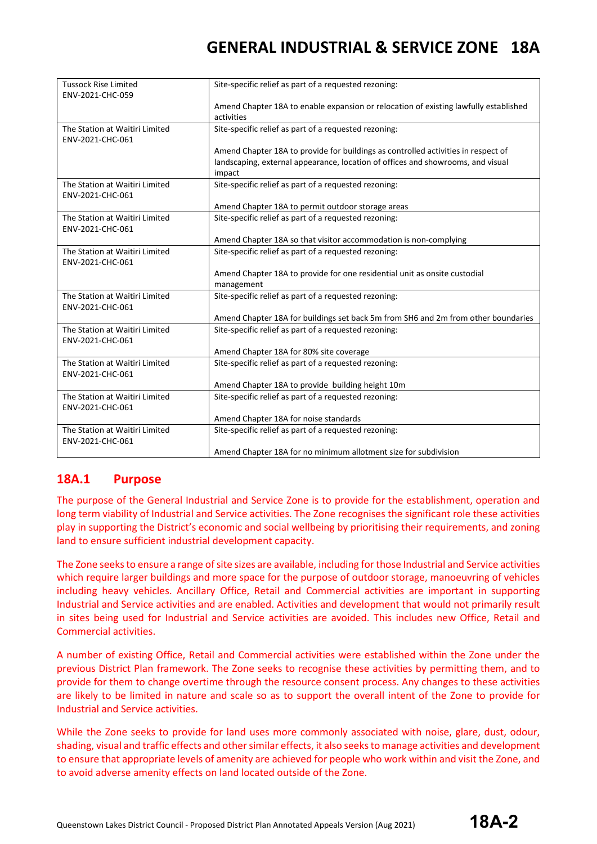| <b>Tussock Rise Limited</b><br>ENV-2021-CHC-059    | Site-specific relief as part of a requested rezoning:                                              |
|----------------------------------------------------|----------------------------------------------------------------------------------------------------|
|                                                    | Amend Chapter 18A to enable expansion or relocation of existing lawfully established<br>activities |
| The Station at Waitiri Limited<br>ENV-2021-CHC-061 | Site-specific relief as part of a requested rezoning:                                              |
|                                                    | Amend Chapter 18A to provide for buildings as controlled activities in respect of                  |
|                                                    | landscaping, external appearance, location of offices and showrooms, and visual<br>impact          |
| The Station at Waitiri Limited<br>ENV-2021-CHC-061 | Site-specific relief as part of a requested rezoning:                                              |
|                                                    | Amend Chapter 18A to permit outdoor storage areas                                                  |
| The Station at Waitiri Limited<br>ENV-2021-CHC-061 | Site-specific relief as part of a requested rezoning:                                              |
|                                                    | Amend Chapter 18A so that visitor accommodation is non-complying                                   |
| The Station at Waitiri Limited<br>ENV-2021-CHC-061 | Site-specific relief as part of a requested rezoning:                                              |
|                                                    | Amend Chapter 18A to provide for one residential unit as onsite custodial                          |
|                                                    | management                                                                                         |
| The Station at Waitiri Limited<br>ENV-2021-CHC-061 | Site-specific relief as part of a requested rezoning:                                              |
|                                                    | Amend Chapter 18A for buildings set back 5m from SH6 and 2m from other boundaries                  |
| The Station at Waitiri Limited<br>ENV-2021-CHC-061 | Site-specific relief as part of a requested rezoning:                                              |
|                                                    | Amend Chapter 18A for 80% site coverage                                                            |
| The Station at Waitiri Limited<br>ENV-2021-CHC-061 | Site-specific relief as part of a requested rezoning:                                              |
|                                                    | Amend Chapter 18A to provide building height 10m                                                   |
| The Station at Waitiri Limited<br>ENV-2021-CHC-061 | Site-specific relief as part of a requested rezoning:                                              |
|                                                    | Amend Chapter 18A for noise standards                                                              |
| The Station at Waitiri Limited<br>ENV-2021-CHC-061 | Site-specific relief as part of a requested rezoning:                                              |
|                                                    | Amend Chapter 18A for no minimum allotment size for subdivision                                    |

#### **18A.1 Purpose**

The purpose of the General Industrial and Service Zone is to provide for the establishment, operation and long term viability of Industrial and Service activities. The Zone recognises the significant role these activities play in supporting the District's economic and social wellbeing by prioritising their requirements, and zoning land to ensure sufficient industrial development capacity.

The Zone seeks to ensure a range of site sizes are available, including for those Industrial and Service activities which require larger buildings and more space for the purpose of outdoor storage, manoeuvring of vehicles including heavy vehicles. Ancillary Office, Retail and Commercial activities are important in supporting Industrial and Service activities and are enabled. Activities and development that would not primarily result in sites being used for Industrial and Service activities are avoided. This includes new Office, Retail and Commercial activities.

A number of existing Office, Retail and Commercial activities were established within the Zone under the previous District Plan framework. The Zone seeks to recognise these activities by permitting them, and to provide for them to change overtime through the resource consent process. Any changes to these activities are likely to be limited in nature and scale so as to support the overall intent of the Zone to provide for Industrial and Service activities.

While the Zone seeks to provide for land uses more commonly associated with noise, glare, dust, odour, shading, visual and traffic effects and other similar effects, it also seeks to manage activities and development to ensure that appropriate levels of amenity are achieved for people who work within and visit the Zone, and to avoid adverse amenity effects on land located outside of the Zone.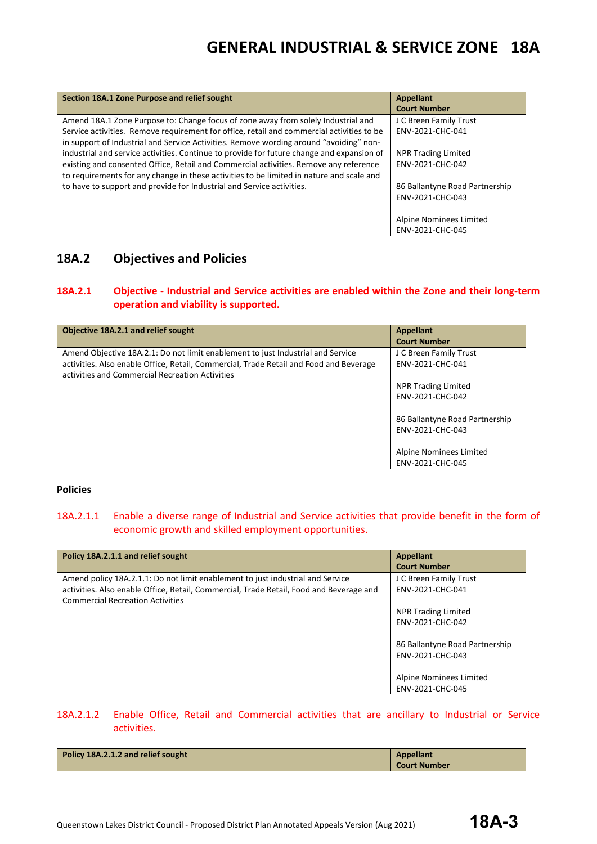| Section 18A.1 Zone Purpose and relief sought                                                                                                                                                                                                                                                                                                                             | <b>Appellant</b><br><b>Court Number</b>            |
|--------------------------------------------------------------------------------------------------------------------------------------------------------------------------------------------------------------------------------------------------------------------------------------------------------------------------------------------------------------------------|----------------------------------------------------|
| Amend 18A.1 Zone Purpose to: Change focus of zone away from solely Industrial and<br>Service activities. Remove requirement for office, retail and commercial activities to be                                                                                                                                                                                           | J C Breen Family Trust<br>ENV-2021-CHC-041         |
| in support of Industrial and Service Activities. Remove wording around "avoiding" non-<br>industrial and service activities. Continue to provide for future change and expansion of<br>existing and consented Office, Retail and Commercial activities. Remove any reference<br>to requirements for any change in these activities to be limited in nature and scale and | NPR Trading Limited<br>ENV-2021-CHC-042            |
| to have to support and provide for Industrial and Service activities.                                                                                                                                                                                                                                                                                                    | 86 Ballantyne Road Partnership<br>ENV-2021-CHC-043 |
|                                                                                                                                                                                                                                                                                                                                                                          | Alpine Nominees Limited<br>ENV-2021-CHC-045        |

### **18A.2 Objectives and Policies**

#### **18A.2.1 Objective - Industrial and Service activities are enabled within the Zone and their long-term operation and viability is supported.**

| Objective 18A.2.1 and relief sought                                                                                                                                                                                          | <b>Appellant</b><br><b>Court Number</b>                           |
|------------------------------------------------------------------------------------------------------------------------------------------------------------------------------------------------------------------------------|-------------------------------------------------------------------|
| Amend Objective 18A.2.1: Do not limit enablement to just Industrial and Service<br>activities. Also enable Office, Retail, Commercial, Trade Retail and Food and Beverage<br>activities and Commercial Recreation Activities | J C Breen Family Trust<br>ENV-2021-CHC-041<br>NPR Trading Limited |
|                                                                                                                                                                                                                              | ENV-2021-CHC-042                                                  |
|                                                                                                                                                                                                                              | 86 Ballantyne Road Partnership<br>ENV-2021-CHC-043                |
|                                                                                                                                                                                                                              | Alpine Nominees Limited<br>ENV-2021-CHC-045                       |

#### **Policies**

#### 18A.2.1.1 Enable a diverse range of Industrial and Service activities that provide benefit in the form of economic growth and skilled employment opportunities.

| Policy 18A.2.1.1 and relief sought                                                      | <b>Appellant</b>               |
|-----------------------------------------------------------------------------------------|--------------------------------|
|                                                                                         | <b>Court Number</b>            |
| Amend policy 18A.2.1.1: Do not limit enablement to just industrial and Service          | J C Breen Family Trust         |
| activities. Also enable Office, Retail, Commercial, Trade Retail, Food and Beverage and | ENV-2021-CHC-041               |
| <b>Commercial Recreation Activities</b>                                                 |                                |
|                                                                                         | NPR Trading Limited            |
|                                                                                         | ENV-2021-CHC-042               |
|                                                                                         |                                |
|                                                                                         | 86 Ballantyne Road Partnership |
|                                                                                         | ENV-2021-CHC-043               |
|                                                                                         |                                |
|                                                                                         | Alpine Nominees Limited        |
|                                                                                         | ENV-2021-CHC-045               |

#### 18A.2.1.2 Enable Office, Retail and Commercial activities that are ancillary to Industrial or Service activities.

| Policy 18A.2.1.2 and relief sought | <b>Appellant</b><br><b>Court Number</b> |
|------------------------------------|-----------------------------------------|
|                                    |                                         |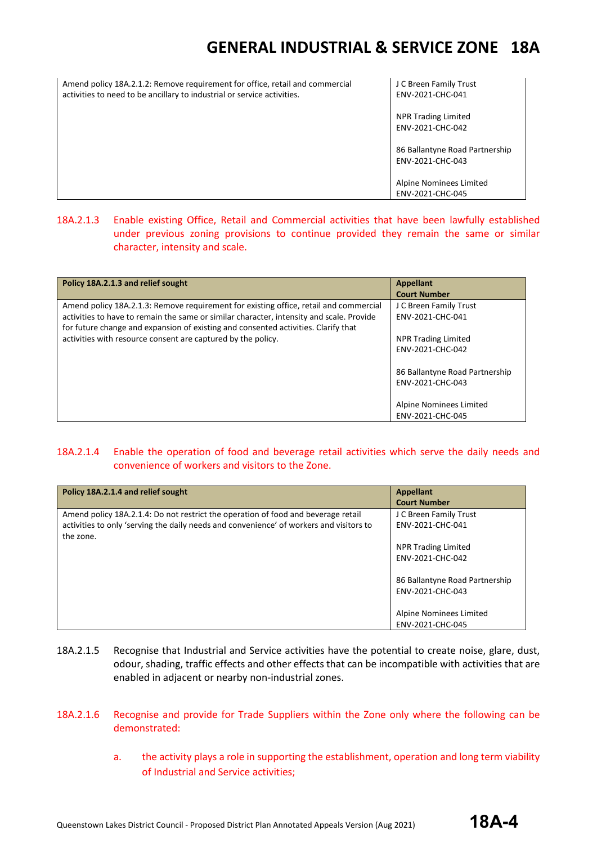| Amend policy 18A.2.1.2: Remove requirement for office, retail and commercial<br>activities to need to be ancillary to industrial or service activities. | J C Breen Family Trust<br>ENV-2021-CHC-041         |
|---------------------------------------------------------------------------------------------------------------------------------------------------------|----------------------------------------------------|
|                                                                                                                                                         | NPR Trading Limited<br>ENV-2021-CHC-042            |
|                                                                                                                                                         | 86 Ballantyne Road Partnership<br>ENV-2021-CHC-043 |
|                                                                                                                                                         | Alpine Nominees Limited<br>ENV-2021-CHC-045        |

18A.2.1.3 Enable existing Office, Retail and Commercial activities that have been lawfully established under previous zoning provisions to continue provided they remain the same or similar character, intensity and scale.

| Policy 18A.2.1.3 and relief sought                                                                                                                                                                                                                                                                                                      | <b>Appellant</b><br><b>Court Number</b>                                                                                                                                                           |
|-----------------------------------------------------------------------------------------------------------------------------------------------------------------------------------------------------------------------------------------------------------------------------------------------------------------------------------------|---------------------------------------------------------------------------------------------------------------------------------------------------------------------------------------------------|
| Amend policy 18A.2.1.3: Remove requirement for existing office, retail and commercial<br>activities to have to remain the same or similar character, intensity and scale. Provide<br>for future change and expansion of existing and consented activities. Clarify that<br>activities with resource consent are captured by the policy. | J C Breen Family Trust<br>ENV-2021-CHC-041<br><b>NPR Trading Limited</b><br>ENV-2021-CHC-042<br>86 Ballantyne Road Partnership<br>ENV-2021-CHC-043<br>Alpine Nominees Limited<br>ENV-2021-CHC-045 |

#### 18A.2.1.4 Enable the operation of food and beverage retail activities which serve the daily needs and convenience of workers and visitors to the Zone.

| Policy 18A.2.1.4 and relief sought                                                      | <b>Appellant</b>               |
|-----------------------------------------------------------------------------------------|--------------------------------|
|                                                                                         | <b>Court Number</b>            |
| Amend policy 18A.2.1.4: Do not restrict the operation of food and beverage retail       | J C Breen Family Trust         |
| activities to only 'serving the daily needs and convenience' of workers and visitors to | ENV-2021-CHC-041               |
| the zone.                                                                               |                                |
|                                                                                         | <b>NPR Trading Limited</b>     |
|                                                                                         | ENV-2021-CHC-042               |
|                                                                                         |                                |
|                                                                                         | 86 Ballantyne Road Partnership |
|                                                                                         | ENV-2021-CHC-043               |
|                                                                                         |                                |
|                                                                                         | Alpine Nominees Limited        |
|                                                                                         | ENV-2021-CHC-045               |

- 18A.2.1.5 Recognise that Industrial and Service activities have the potential to create noise, glare, dust, odour, shading, traffic effects and other effects that can be incompatible with activities that are enabled in adjacent or nearby non-industrial zones.
- 18A.2.1.6 Recognise and provide for Trade Suppliers within the Zone only where the following can be demonstrated:
	- a. the activity plays a role in supporting the establishment, operation and long term viability of Industrial and Service activities;

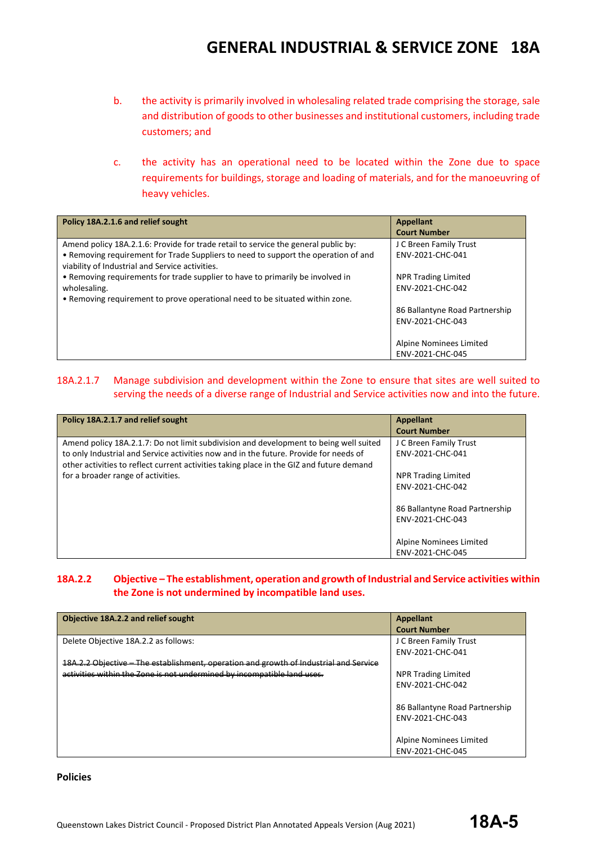- b. the activity is primarily involved in wholesaling related trade comprising the storage, sale and distribution of goods to other businesses and institutional customers, including trade customers; and
- c. the activity has an operational need to be located within the Zone due to space requirements for buildings, storage and loading of materials, and for the manoeuvring of heavy vehicles.

| Policy 18A.2.1.6 and relief sought                                                 | <b>Appellant</b>               |
|------------------------------------------------------------------------------------|--------------------------------|
|                                                                                    | <b>Court Number</b>            |
| Amend policy 18A.2.1.6: Provide for trade retail to service the general public by: | J C Breen Family Trust         |
| • Removing requirement for Trade Suppliers to need to support the operation of and | ENV-2021-CHC-041               |
| viability of Industrial and Service activities.                                    |                                |
| • Removing requirements for trade supplier to have to primarily be involved in     | <b>NPR Trading Limited</b>     |
| wholesaling.                                                                       | ENV-2021-CHC-042               |
| . Removing requirement to prove operational need to be situated within zone.       |                                |
|                                                                                    | 86 Ballantyne Road Partnership |
|                                                                                    | ENV-2021-CHC-043               |
|                                                                                    |                                |
|                                                                                    | Alpine Nominees Limited        |
|                                                                                    | ENV-2021-CHC-045               |

#### 18A.2.1.7 Manage subdivision and development within the Zone to ensure that sites are well suited to serving the needs of a diverse range of Industrial and Service activities now and into the future.

| Policy 18A.2.1.7 and relief sought                                                                                                                                                                                                                                                                               | <b>Appellant</b><br><b>Court Number</b>                                                           |
|------------------------------------------------------------------------------------------------------------------------------------------------------------------------------------------------------------------------------------------------------------------------------------------------------------------|---------------------------------------------------------------------------------------------------|
| Amend policy 18A.2.1.7: Do not limit subdivision and development to being well suited<br>to only Industrial and Service activities now and in the future. Provide for needs of<br>other activities to reflect current activities taking place in the GIZ and future demand<br>for a broader range of activities. | J C Breen Family Trust<br>ENV-2021-CHC-041<br><b>NPR Trading Limited</b><br>ENV-2021-CHC-042      |
|                                                                                                                                                                                                                                                                                                                  | 86 Ballantyne Road Partnership<br>ENV-2021-CHC-043<br>Alpine Nominees Limited<br>ENV-2021-CHC-045 |

#### **18A.2.2 Objective – The establishment, operation and growth of Industrial and Service activities within the Zone is not undermined by incompatible land uses.**

| Objective 18A.2.2 and relief sought                                                   | Appellant                      |
|---------------------------------------------------------------------------------------|--------------------------------|
|                                                                                       | <b>Court Number</b>            |
| Delete Objective 18A.2.2 as follows:                                                  | J C Breen Family Trust         |
|                                                                                       | ENV-2021-CHC-041               |
| 18A.2.2 Objective - The establishment, operation and growth of Industrial and Service |                                |
| activities within the Zone is not undermined by incompatible land uses.               | <b>NPR Trading Limited</b>     |
|                                                                                       | ENV-2021-CHC-042               |
|                                                                                       |                                |
|                                                                                       | 86 Ballantyne Road Partnership |
|                                                                                       | ENV-2021-CHC-043               |
|                                                                                       |                                |
|                                                                                       | Alpine Nominees Limited        |
|                                                                                       | ENV-2021-CHC-045               |

#### **Policies**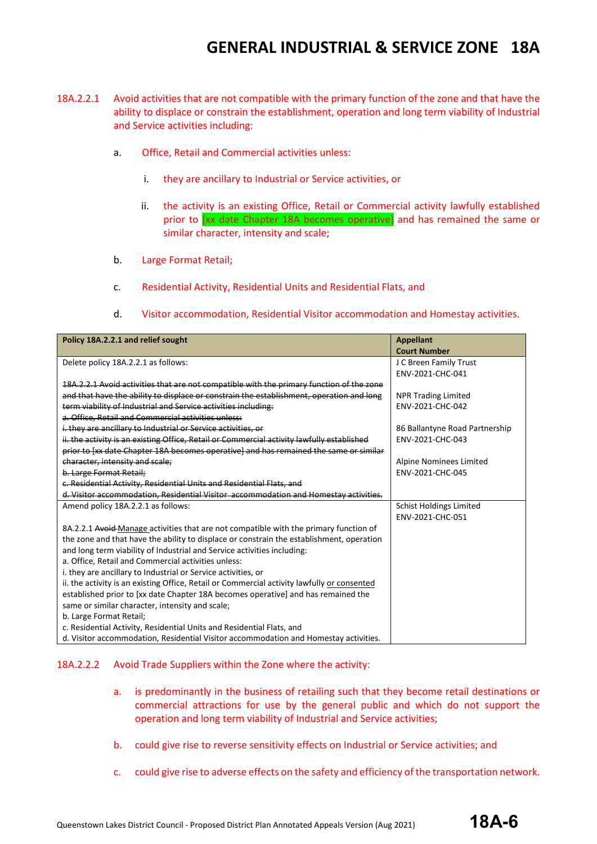- 18A.2.2.1 Avoid activities that are not compatible with the primary function of the zone and that have the ability to displace or constrain the establishment, operation and long term viability of Industrial and Service activities including:
	- a. Office, Retail and Commercial activities unless:
		- i. they are ancillary to Industrial or Service activities, or
		- ii. the activity is an existing Office, Retail or Commercial activity lawfully established prior to [xx date Chapter 18A becomes operative] and has remained the same or similar character, intensity and scale;
	- b. Large Format Retail;
	- c. Residential Activity, Residential Units and Residential Flats, and
	- d. Visitor accommodation, Residential Visitor accommodation and Homestay activities.

| Policy 18A.2.2.1 and relief sought                                                          | <b>Appellant</b>               |  |
|---------------------------------------------------------------------------------------------|--------------------------------|--|
|                                                                                             | <b>Court Number</b>            |  |
| Delete policy 18A.2.2.1 as follows:                                                         | J C Breen Family Trust         |  |
|                                                                                             | ENV-2021-CHC-041               |  |
| 18A.2.2.1 Avoid activities that are not compatible with the primary function of the zone    |                                |  |
| and that have the ability to displace or constrain the establishment, operation and long    | <b>NPR Trading Limited</b>     |  |
| term viability of Industrial and Service activities including:                              | ENV-2021-CHC-042               |  |
| a. Office. Retail and Commercial activities unless:                                         |                                |  |
| i. they are ancillary to Industrial or Service activities, or                               | 86 Ballantyne Road Partnership |  |
| ii. the activity is an existing Office, Retail or Commercial activity lawfully established  | ENV-2021-CHC-043               |  |
| prior to [xx date Chapter 18A becomes operative] and has remained the same or similar       |                                |  |
| character, intensity and scale;                                                             | Alpine Nominees Limited        |  |
| b. Large Format Retail:                                                                     | ENV-2021-CHC-045               |  |
| c. Residential Activity. Residential Units and Residential Flats, and                       |                                |  |
| d. Visitor accommodation, Residential Visitor accommodation and Homestay activities.        |                                |  |
| Amend policy 18A.2.2.1 as follows:                                                          | <b>Schist Holdings Limited</b> |  |
|                                                                                             | ENV-2021-CHC-051               |  |
| 8A.2.2.1 Avoid-Manage activities that are not compatible with the primary function of       |                                |  |
| the zone and that have the ability to displace or constrain the establishment, operation    |                                |  |
| and long term viability of Industrial and Service activities including:                     |                                |  |
| a. Office, Retail and Commercial activities unless:                                         |                                |  |
| i. they are ancillary to Industrial or Service activities, or                               |                                |  |
| ii. the activity is an existing Office, Retail or Commercial activity lawfully or consented |                                |  |
| established prior to [xx date Chapter 18A becomes operative] and has remained the           |                                |  |
| same or similar character, intensity and scale;                                             |                                |  |
| b. Large Format Retail;                                                                     |                                |  |
| c. Residential Activity, Residential Units and Residential Flats, and                       |                                |  |
| d. Visitor accommodation, Residential Visitor accommodation and Homestay activities.        |                                |  |

#### 18A.2.2.2 Avoid Trade Suppliers within the Zone where the activity:

- a. is predominantly in the business of retailing such that they become retail destinations or commercial attractions for use by the general public and which do not support the operation and long term viability of Industrial and Service activities;
- b. could give rise to reverse sensitivity effects on Industrial or Service activities; and
- c. could give rise to adverse effects on the safety and efficiency of the transportation network.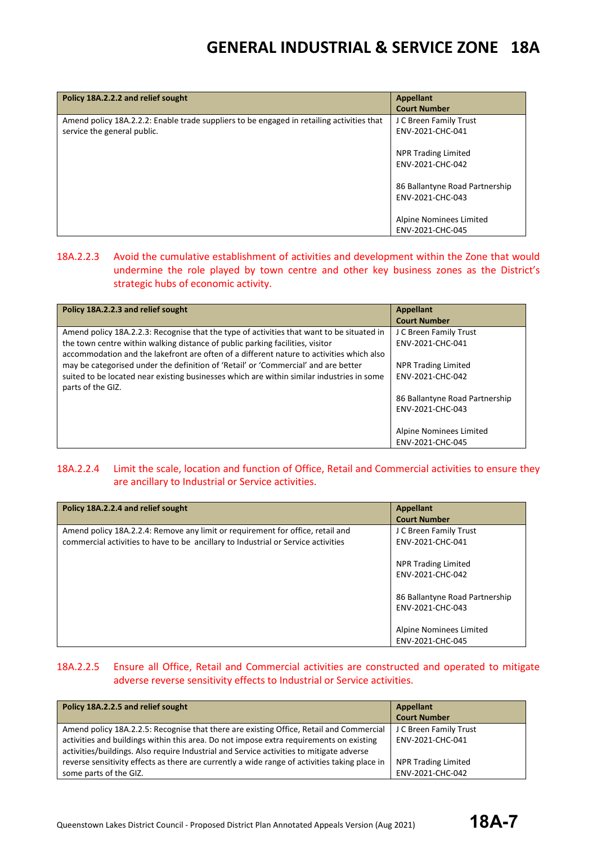| Policy 18A.2.2.2 and relief sought                                                                                       | <b>Appellant</b><br><b>Court Number</b>            |
|--------------------------------------------------------------------------------------------------------------------------|----------------------------------------------------|
| Amend policy 18A.2.2.2: Enable trade suppliers to be engaged in retailing activities that<br>service the general public. | J C Breen Family Trust<br>ENV-2021-CHC-041         |
|                                                                                                                          | <b>NPR Trading Limited</b><br>ENV-2021-CHC-042     |
|                                                                                                                          | 86 Ballantyne Road Partnership<br>ENV-2021-CHC-043 |
|                                                                                                                          | Alpine Nominees Limited<br>ENV-2021-CHC-045        |

#### 18A.2.2.3 Avoid the cumulative establishment of activities and development within the Zone that would undermine the role played by town centre and other key business zones as the District's strategic hubs of economic activity.

| Policy 18A.2.2.3 and relief sought                                                                                                                                                                                                                                                                                                                                                                                                                                             | Appellant<br><b>Court Number</b>                                                                                                                                                                  |
|--------------------------------------------------------------------------------------------------------------------------------------------------------------------------------------------------------------------------------------------------------------------------------------------------------------------------------------------------------------------------------------------------------------------------------------------------------------------------------|---------------------------------------------------------------------------------------------------------------------------------------------------------------------------------------------------|
| Amend policy 18A.2.2.3: Recognise that the type of activities that want to be situated in<br>the town centre within walking distance of public parking facilities, visitor<br>accommodation and the lakefront are often of a different nature to activities which also<br>may be categorised under the definition of 'Retail' or 'Commercial' and are better<br>suited to be located near existing businesses which are within similar industries in some<br>parts of the GIZ. | J C Breen Family Trust<br>ENV-2021-CHC-041<br><b>NPR Trading Limited</b><br>ENV-2021-CHC-042<br>86 Ballantyne Road Partnership<br>ENV-2021-CHC-043<br>Alpine Nominees Limited<br>ENV-2021-CHC-045 |

#### 18A.2.2.4 Limit the scale, location and function of Office, Retail and Commercial activities to ensure they are ancillary to Industrial or Service activities.

| Policy 18A.2.2.4 and relief sought                                                | <b>Appellant</b>               |  |
|-----------------------------------------------------------------------------------|--------------------------------|--|
|                                                                                   | <b>Court Number</b>            |  |
| Amend policy 18A.2.2.4: Remove any limit or requirement for office, retail and    | J C Breen Family Trust         |  |
| commercial activities to have to be ancillary to Industrial or Service activities | ENV-2021-CHC-041               |  |
|                                                                                   |                                |  |
|                                                                                   | <b>NPR Trading Limited</b>     |  |
|                                                                                   | ENV-2021-CHC-042               |  |
|                                                                                   |                                |  |
|                                                                                   | 86 Ballantyne Road Partnership |  |
|                                                                                   | ENV-2021-CHC-043               |  |
|                                                                                   |                                |  |
|                                                                                   | Alpine Nominees Limited        |  |
|                                                                                   | ENV-2021-CHC-045               |  |

#### 18A.2.2.5 Ensure all Office, Retail and Commercial activities are constructed and operated to mitigate adverse reverse sensitivity effects to Industrial or Service activities.

| Policy 18A.2.2.5 and relief sought                                                            | Appellant              |
|-----------------------------------------------------------------------------------------------|------------------------|
|                                                                                               | <b>Court Number</b>    |
| Amend policy 18A.2.2.5: Recognise that there are existing Office, Retail and Commercial       | J C Breen Family Trust |
| activities and buildings within this area. Do not impose extra requirements on existing       | ENV-2021-CHC-041       |
| activities/buildings. Also require Industrial and Service activities to mitigate adverse      |                        |
| reverse sensitivity effects as there are currently a wide range of activities taking place in | NPR Trading Limited    |
| some parts of the GIZ.                                                                        | ENV-2021-CHC-042       |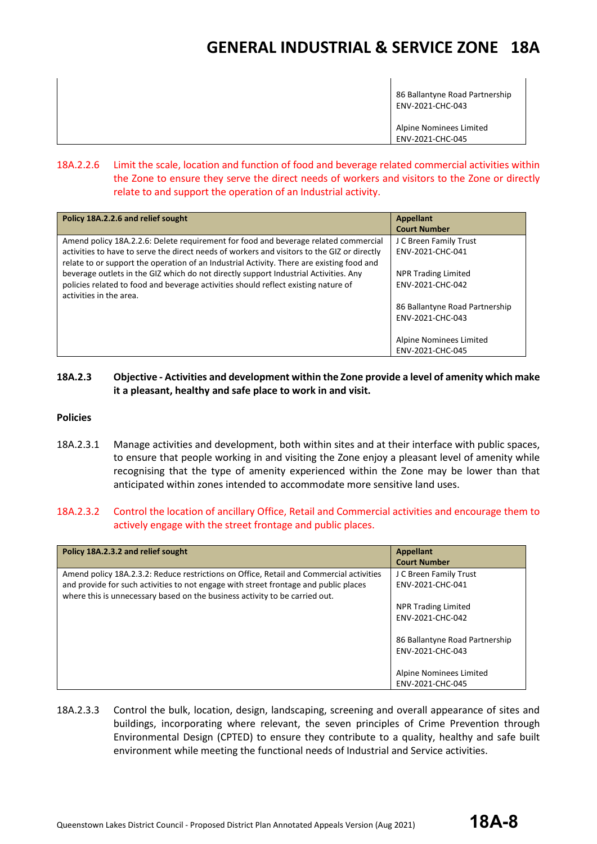86 Ballantyne Road Partnership ENV-2021-CHC-043 Alpine Nominees Limited ENV-2021-CHC-045

#### 18A.2.2.6 Limit the scale, location and function of food and beverage related commercial activities within the Zone to ensure they serve the direct needs of workers and visitors to the Zone or directly relate to and support the operation of an Industrial activity.

| Policy 18A.2.2.6 and relief sought                                                          | <b>Appellant</b>               |
|---------------------------------------------------------------------------------------------|--------------------------------|
|                                                                                             | <b>Court Number</b>            |
| Amend policy 18A.2.2.6: Delete requirement for food and beverage related commercial         | J C Breen Family Trust         |
| activities to have to serve the direct needs of workers and visitors to the GIZ or directly | ENV-2021-CHC-041               |
| relate to or support the operation of an Industrial Activity. There are existing food and   |                                |
| beverage outlets in the GIZ which do not directly support Industrial Activities. Any        | <b>NPR Trading Limited</b>     |
| policies related to food and beverage activities should reflect existing nature of          | ENV-2021-CHC-042               |
| activities in the area.                                                                     |                                |
|                                                                                             | 86 Ballantyne Road Partnership |
|                                                                                             | ENV-2021-CHC-043               |
|                                                                                             |                                |
|                                                                                             | Alpine Nominees Limited        |
|                                                                                             | ENV-2021-CHC-045               |

#### **18A.2.3 Objective - Activities and development within the Zone provide a level of amenity which make it a pleasant, healthy and safe place to work in and visit.**

#### **Policies**

18A.2.3.1 Manage activities and development, both within sites and at their interface with public spaces, to ensure that people working in and visiting the Zone enjoy a pleasant level of amenity while recognising that the type of amenity experienced within the Zone may be lower than that anticipated within zones intended to accommodate more sensitive land uses.

#### 18A.2.3.2 Control the location of ancillary Office, Retail and Commercial activities and encourage them to actively engage with the street frontage and public places.

| Policy 18A.2.3.2 and relief sought                                                                                                                                                                                                                             | <b>Appellant</b><br><b>Court Number</b>                                  |
|----------------------------------------------------------------------------------------------------------------------------------------------------------------------------------------------------------------------------------------------------------------|--------------------------------------------------------------------------|
| Amend policy 18A.2.3.2: Reduce restrictions on Office, Retail and Commercial activities<br>and provide for such activities to not engage with street frontage and public places<br>where this is unnecessary based on the business activity to be carried out. | J C Breen Family Trust<br>ENV-2021-CHC-041<br><b>NPR Trading Limited</b> |
|                                                                                                                                                                                                                                                                | ENV-2021-CHC-042                                                         |
|                                                                                                                                                                                                                                                                | 86 Ballantyne Road Partnership<br>ENV-2021-CHC-043                       |
|                                                                                                                                                                                                                                                                | Alpine Nominees Limited<br>ENV-2021-CHC-045                              |

18A.2.3.3 Control the bulk, location, design, landscaping, screening and overall appearance of sites and buildings, incorporating where relevant, the seven principles of Crime Prevention through Environmental Design (CPTED) to ensure they contribute to a quality, healthy and safe built environment while meeting the functional needs of Industrial and Service activities.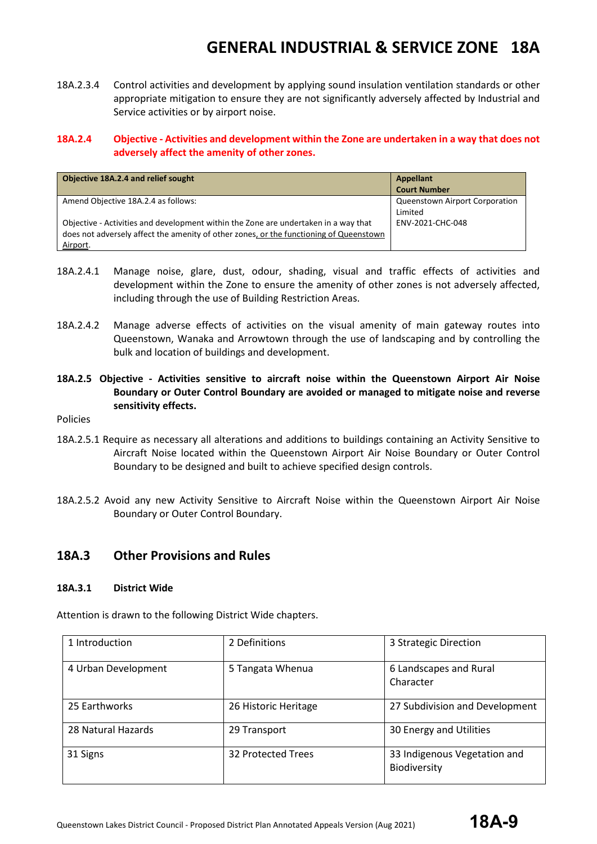18A.2.3.4 Control activities and development by applying sound insulation ventilation standards or other appropriate mitigation to ensure they are not significantly adversely affected by Industrial and Service activities or by airport noise.

#### **18A.2.4 Objective - Activities and development within the Zone are undertaken in a way that does not adversely affect the amenity of other zones.**

| Objective 18A.2.4 and relief sought                                                    | <b>Appellant</b>               |  |
|----------------------------------------------------------------------------------------|--------------------------------|--|
|                                                                                        | <b>Court Number</b>            |  |
| Amend Objective 18A.2.4 as follows:                                                    | Queenstown Airport Corporation |  |
|                                                                                        | Limited                        |  |
| Objective - Activities and development within the Zone are undertaken in a way that    | ENV-2021-CHC-048               |  |
| does not adversely affect the amenity of other zones, or the functioning of Queenstown |                                |  |
| Airport.                                                                               |                                |  |

- 18A.2.4.1 Manage noise, glare, dust, odour, shading, visual and traffic effects of activities and development within the Zone to ensure the amenity of other zones is not adversely affected, including through the use of Building Restriction Areas.
- 18A.2.4.2 Manage adverse effects of activities on the visual amenity of main gateway routes into Queenstown, Wanaka and Arrowtown through the use of landscaping and by controlling the bulk and location of buildings and development.
- **18A.2.5 Objective - Activities sensitive to aircraft noise within the Queenstown Airport Air Noise Boundary or Outer Control Boundary are avoided or managed to mitigate noise and reverse sensitivity effects.**
- Policies
- 18A.2.5.1 Require as necessary all alterations and additions to buildings containing an Activity Sensitive to Aircraft Noise located within the Queenstown Airport Air Noise Boundary or Outer Control Boundary to be designed and built to achieve specified design controls.
- 18A.2.5.2 Avoid any new Activity Sensitive to Aircraft Noise within the Queenstown Airport Air Noise Boundary or Outer Control Boundary.

#### **18A.3 Other Provisions and Rules**

#### **18A.3.1 District Wide**

Attention is drawn to the following District Wide chapters.

| 1 Introduction      | 2 Definitions        | 3 Strategic Direction          |
|---------------------|----------------------|--------------------------------|
|                     |                      |                                |
| 4 Urban Development | 5 Tangata Whenua     | 6 Landscapes and Rural         |
|                     |                      | Character                      |
| 25 Earthworks       | 26 Historic Heritage | 27 Subdivision and Development |
| 28 Natural Hazards  | 29 Transport         | 30 Energy and Utilities        |
| 31 Signs            | 32 Protected Trees   | 33 Indigenous Vegetation and   |
|                     |                      | Biodiversity                   |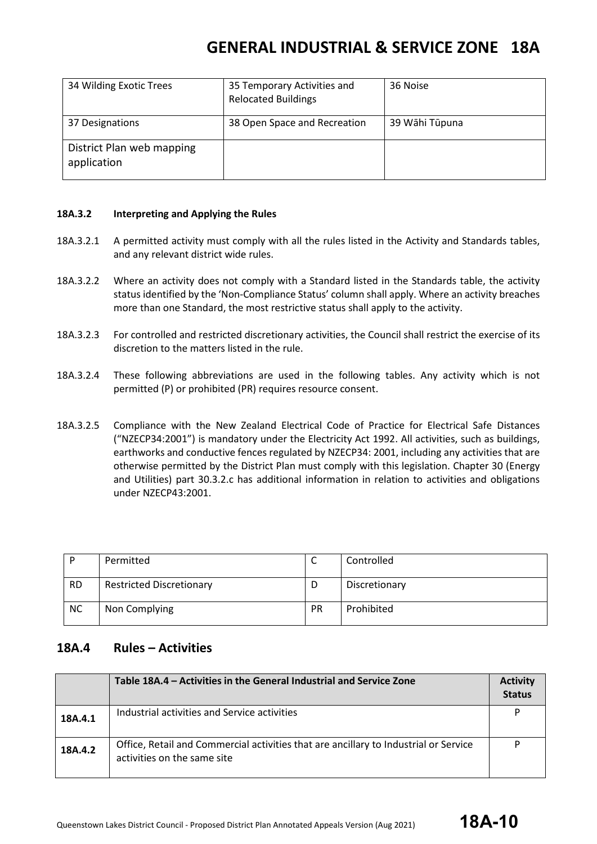| 34 Wilding Exotic Trees                  | 35 Temporary Activities and<br><b>Relocated Buildings</b> | 36 Noise       |  |
|------------------------------------------|-----------------------------------------------------------|----------------|--|
| 37 Designations                          | 38 Open Space and Recreation                              | 39 Wāhi Tūpuna |  |
| District Plan web mapping<br>application |                                                           |                |  |

#### **18A.3.2 Interpreting and Applying the Rules**

- 18A.3.2.1 A permitted activity must comply with all the rules listed in the Activity and Standards tables, and any relevant district wide rules.
- 18A.3.2.2 Where an activity does not comply with a Standard listed in the Standards table, the activity status identified by the 'Non-Compliance Status' column shall apply. Where an activity breaches more than one Standard, the most restrictive status shall apply to the activity.
- 18A.3.2.3 For controlled and restricted discretionary activities, the Council shall restrict the exercise of its discretion to the matters listed in the rule.
- 18A.3.2.4 These following abbreviations are used in the following tables. Any activity which is not permitted (P) or prohibited (PR) requires resource consent.
- 18A.3.2.5 Compliance with the New Zealand Electrical Code of Practice for Electrical Safe Distances ("NZECP34:2001") is mandatory under the Electricity Act 1992. All activities, such as buildings, earthworks and conductive fences regulated by NZECP34: 2001, including any activities that are otherwise permitted by the District Plan must comply with this legislation. Chapter 30 (Energy and Utilities) part 30.3.2.c has additional information in relation to activities and obligations under NZECP43:2001.

| D         | Permitted                       | ∼         | Controlled    |
|-----------|---------------------------------|-----------|---------------|
| <b>RD</b> | <b>Restricted Discretionary</b> | D         | Discretionary |
| <b>NC</b> | Non Complying                   | <b>PR</b> | Prohibited    |

#### **18A.4 Rules – Activities**

|         | Table 18A.4 – Activities in the General Industrial and Service Zone                                                 | <b>Activity</b><br><b>Status</b> |
|---------|---------------------------------------------------------------------------------------------------------------------|----------------------------------|
| 18A.4.1 | Industrial activities and Service activities                                                                        |                                  |
| 18A.4.2 | Office, Retail and Commercial activities that are ancillary to Industrial or Service<br>activities on the same site |                                  |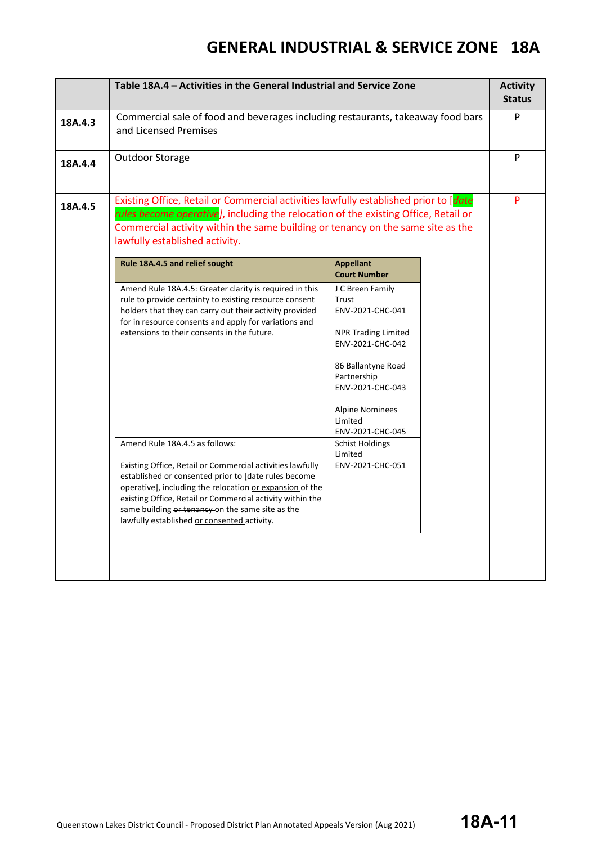|         | Table 18A.4 - Activities in the General Industrial and Service Zone                                                                                                                                                                                                                                                                                  |                                                                                                                                                                                                                                                        |  |   |
|---------|------------------------------------------------------------------------------------------------------------------------------------------------------------------------------------------------------------------------------------------------------------------------------------------------------------------------------------------------------|--------------------------------------------------------------------------------------------------------------------------------------------------------------------------------------------------------------------------------------------------------|--|---|
| 18A.4.3 | Commercial sale of food and beverages including restaurants, takeaway food bars<br>and Licensed Premises                                                                                                                                                                                                                                             |                                                                                                                                                                                                                                                        |  | P |
| 18A.4.4 | Outdoor Storage                                                                                                                                                                                                                                                                                                                                      |                                                                                                                                                                                                                                                        |  | P |
| 18A.4.5 | Existing Office, Retail or Commercial activities lawfully established prior to [date<br>rules become operative], including the relocation of the existing Office, Retail or<br>Commercial activity within the same building or tenancy on the same site as the<br>lawfully established activity.                                                     |                                                                                                                                                                                                                                                        |  |   |
|         | Rule 18A.4.5 and relief sought                                                                                                                                                                                                                                                                                                                       | <b>Appellant</b><br><b>Court Number</b>                                                                                                                                                                                                                |  |   |
|         | Amend Rule 18A.4.5: Greater clarity is required in this<br>rule to provide certainty to existing resource consent<br>holders that they can carry out their activity provided<br>for in resource consents and apply for variations and<br>extensions to their consents in the future.<br>Amend Rule 18A.4.5 as follows:                               | J C Breen Family<br>Trust<br>ENV-2021-CHC-041<br><b>NPR Trading Limited</b><br>ENV-2021-CHC-042<br>86 Ballantyne Road<br>Partnership<br>ENV-2021-CHC-043<br><b>Alpine Nominees</b><br>Limited<br>ENV-2021-CHC-045<br><b>Schist Holdings</b><br>Limited |  |   |
|         | <b>Existing Office, Retail or Commercial activities lawfully</b><br>established or consented prior to [date rules become<br>operative], including the relocation or expansion of the<br>existing Office, Retail or Commercial activity within the<br>same building or tenancy on the same site as the<br>lawfully established or consented activity. | ENV-2021-CHC-051                                                                                                                                                                                                                                       |  |   |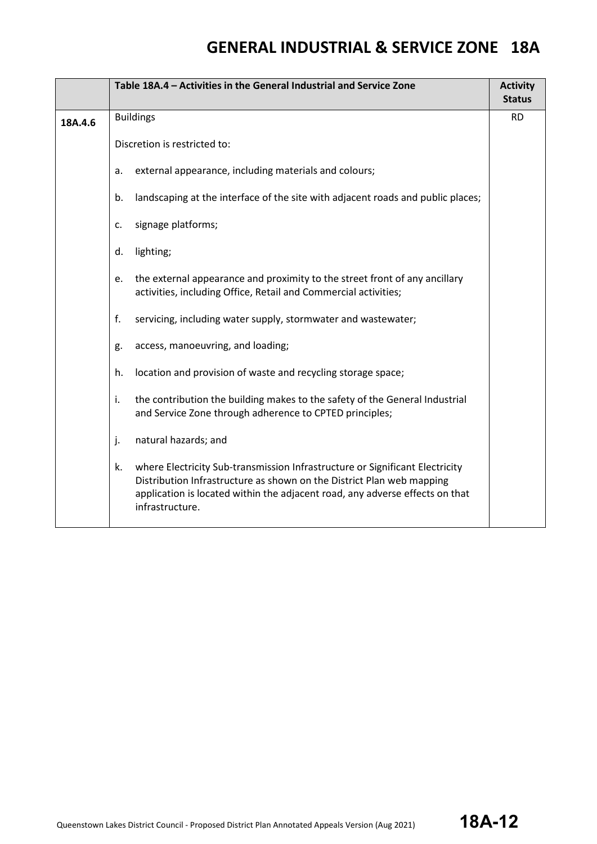|         | Table 18A.4 - Activities in the General Industrial and Service Zone                                                                                                                                                                                            |               |
|---------|----------------------------------------------------------------------------------------------------------------------------------------------------------------------------------------------------------------------------------------------------------------|---------------|
|         |                                                                                                                                                                                                                                                                | <b>Status</b> |
| 18A.4.6 | <b>Buildings</b>                                                                                                                                                                                                                                               | <b>RD</b>     |
|         | Discretion is restricted to:                                                                                                                                                                                                                                   |               |
|         | external appearance, including materials and colours;<br>a.                                                                                                                                                                                                    |               |
|         | landscaping at the interface of the site with adjacent roads and public places;<br>b.                                                                                                                                                                          |               |
|         | signage platforms;<br>c.                                                                                                                                                                                                                                       |               |
|         | lighting;<br>d.                                                                                                                                                                                                                                                |               |
|         | the external appearance and proximity to the street front of any ancillary<br>e.<br>activities, including Office, Retail and Commercial activities;                                                                                                            |               |
|         | f.<br>servicing, including water supply, stormwater and wastewater;                                                                                                                                                                                            |               |
|         | access, manoeuvring, and loading;<br>g.                                                                                                                                                                                                                        |               |
|         | location and provision of waste and recycling storage space;<br>h.                                                                                                                                                                                             |               |
|         | the contribution the building makes to the safety of the General Industrial<br>i.<br>and Service Zone through adherence to CPTED principles;                                                                                                                   |               |
|         | natural hazards; and<br>j.                                                                                                                                                                                                                                     |               |
|         | where Electricity Sub-transmission Infrastructure or Significant Electricity<br>k.<br>Distribution Infrastructure as shown on the District Plan web mapping<br>application is located within the adjacent road, any adverse effects on that<br>infrastructure. |               |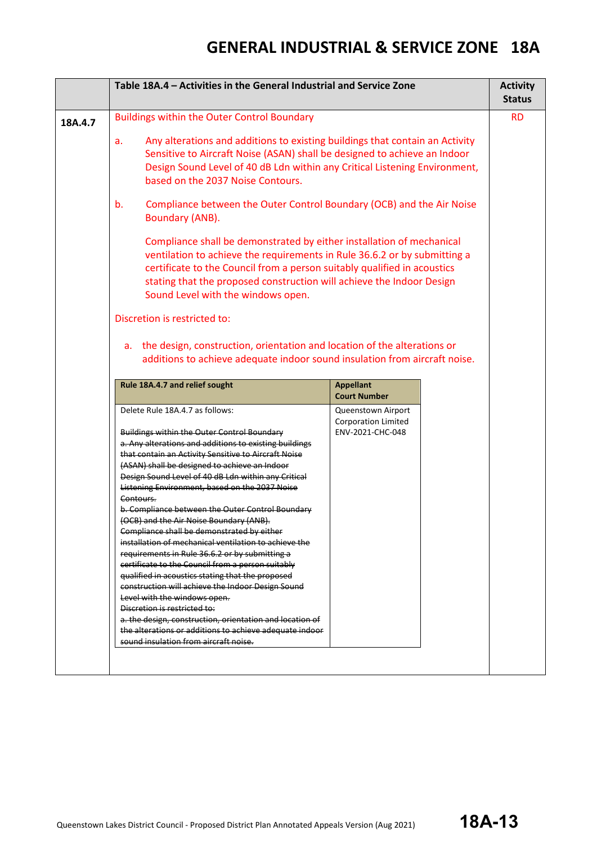|         | Table 18A.4 - Activities in the General Industrial and Service Zone                                                                                                                                                                                                                                                                                                                                                                                                                                                                                                                                                                                                                                                                                                                                                                                                                                                                                                                                                                  |                                                                      | <b>Activity</b><br><b>Status</b> |
|---------|--------------------------------------------------------------------------------------------------------------------------------------------------------------------------------------------------------------------------------------------------------------------------------------------------------------------------------------------------------------------------------------------------------------------------------------------------------------------------------------------------------------------------------------------------------------------------------------------------------------------------------------------------------------------------------------------------------------------------------------------------------------------------------------------------------------------------------------------------------------------------------------------------------------------------------------------------------------------------------------------------------------------------------------|----------------------------------------------------------------------|----------------------------------|
| 18A.4.7 | <b>Buildings within the Outer Control Boundary</b>                                                                                                                                                                                                                                                                                                                                                                                                                                                                                                                                                                                                                                                                                                                                                                                                                                                                                                                                                                                   |                                                                      | <b>RD</b>                        |
|         | Any alterations and additions to existing buildings that contain an Activity<br>a.<br>Sensitive to Aircraft Noise (ASAN) shall be designed to achieve an Indoor<br>Design Sound Level of 40 dB Ldn within any Critical Listening Environment,<br>based on the 2037 Noise Contours.                                                                                                                                                                                                                                                                                                                                                                                                                                                                                                                                                                                                                                                                                                                                                   |                                                                      |                                  |
|         | Compliance between the Outer Control Boundary (OCB) and the Air Noise<br>b.<br>Boundary (ANB).                                                                                                                                                                                                                                                                                                                                                                                                                                                                                                                                                                                                                                                                                                                                                                                                                                                                                                                                       |                                                                      |                                  |
|         | Compliance shall be demonstrated by either installation of mechanical<br>ventilation to achieve the requirements in Rule 36.6.2 or by submitting a<br>certificate to the Council from a person suitably qualified in acoustics<br>stating that the proposed construction will achieve the Indoor Design<br>Sound Level with the windows open.                                                                                                                                                                                                                                                                                                                                                                                                                                                                                                                                                                                                                                                                                        |                                                                      |                                  |
|         | Discretion is restricted to:                                                                                                                                                                                                                                                                                                                                                                                                                                                                                                                                                                                                                                                                                                                                                                                                                                                                                                                                                                                                         |                                                                      |                                  |
|         | a. the design, construction, orientation and location of the alterations or<br>additions to achieve adequate indoor sound insulation from aircraft noise.                                                                                                                                                                                                                                                                                                                                                                                                                                                                                                                                                                                                                                                                                                                                                                                                                                                                            |                                                                      |                                  |
|         | Rule 18A.4.7 and relief sought                                                                                                                                                                                                                                                                                                                                                                                                                                                                                                                                                                                                                                                                                                                                                                                                                                                                                                                                                                                                       | <b>Appellant</b><br><b>Court Number</b>                              |                                  |
|         | Delete Rule 18A.4.7 as follows:<br><b>Buildings within the Outer Control Boundary</b><br>a. Any alterations and additions to existing buildings<br>that contain an Activity Sensitive to Aircraft Noise<br>(ASAN) shall be designed to achieve an Indoor<br>Design Sound Level of 40 dB Ldn within any Critical<br>Listening Environment, based on the 2037 Noise<br>Contours.<br>b. Compliance between the Outer Control Boundary<br>(OCB) and the Air Noise Boundary (ANB).<br>Compliance shall be demonstrated by either<br>installation of mechanical ventilation to achieve the<br>requirements in Rule 36.6.2 or by submitting a<br>certificate to the Council from a person suitably<br>qualified in acoustics stating that the proposed<br>construction will achieve the Indoor Design Sound<br>Level with the windows open.<br>Discretion is restricted to:<br>a. the design, construction, orientation and location of<br>the alterations or additions to achieve adequate indoor<br>sound insulation from aircraft noise. | Queenstown Airport<br><b>Corporation Limited</b><br>ENV-2021-CHC-048 |                                  |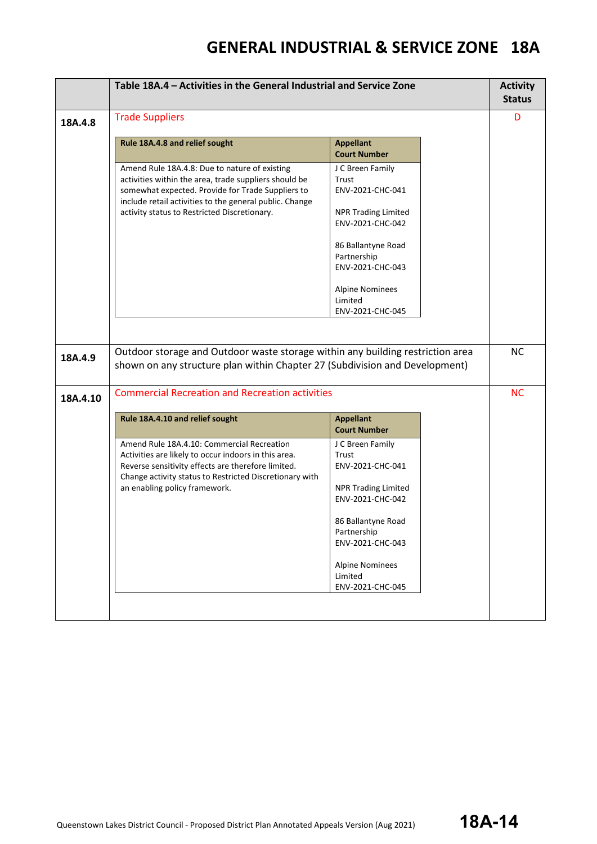|          | Table 18A.4 - Activities in the General Industrial and Service Zone                                                                                                                                                                                                    |                                                                                                                                                                                                                   |  | <b>Activity</b><br><b>Status</b> |  |
|----------|------------------------------------------------------------------------------------------------------------------------------------------------------------------------------------------------------------------------------------------------------------------------|-------------------------------------------------------------------------------------------------------------------------------------------------------------------------------------------------------------------|--|----------------------------------|--|
| 18A.4.8  | <b>Trade Suppliers</b>                                                                                                                                                                                                                                                 |                                                                                                                                                                                                                   |  |                                  |  |
|          | Rule 18A.4.8 and relief sought                                                                                                                                                                                                                                         | <b>Appellant</b><br><b>Court Number</b>                                                                                                                                                                           |  |                                  |  |
|          | Amend Rule 18A.4.8: Due to nature of existing<br>activities within the area, trade suppliers should be<br>somewhat expected. Provide for Trade Suppliers to<br>include retail activities to the general public. Change<br>activity status to Restricted Discretionary. | J C Breen Family<br>Trust<br>ENV-2021-CHC-041<br><b>NPR Trading Limited</b><br>ENV-2021-CHC-042<br>86 Ballantyne Road<br>Partnership<br>ENV-2021-CHC-043<br><b>Alpine Nominees</b><br>Limited<br>ENV-2021-CHC-045 |  |                                  |  |
| 18A.4.9  | Outdoor storage and Outdoor waste storage within any building restriction area<br>shown on any structure plan within Chapter 27 (Subdivision and Development)                                                                                                          |                                                                                                                                                                                                                   |  | <b>NC</b>                        |  |
| 18A.4.10 | <b>Commercial Recreation and Recreation activities</b>                                                                                                                                                                                                                 |                                                                                                                                                                                                                   |  | <b>NC</b>                        |  |
|          | Rule 18A.4.10 and relief sought                                                                                                                                                                                                                                        | <b>Appellant</b><br><b>Court Number</b>                                                                                                                                                                           |  |                                  |  |
|          | Amend Rule 18A.4.10: Commercial Recreation<br>Activities are likely to occur indoors in this area.<br>Reverse sensitivity effects are therefore limited.<br>Change activity status to Restricted Discretionary with<br>an enabling policy framework.                   | J C Breen Family<br>Trust<br>ENV-2021-CHC-041<br><b>NPR Trading Limited</b><br>ENV-2021-CHC-042<br>86 Ballantyne Road<br>Partnership<br>ENV-2021-CHC-043<br><b>Alpine Nominees</b><br>Limited<br>ENV-2021-CHC-045 |  |                                  |  |
|          |                                                                                                                                                                                                                                                                        |                                                                                                                                                                                                                   |  |                                  |  |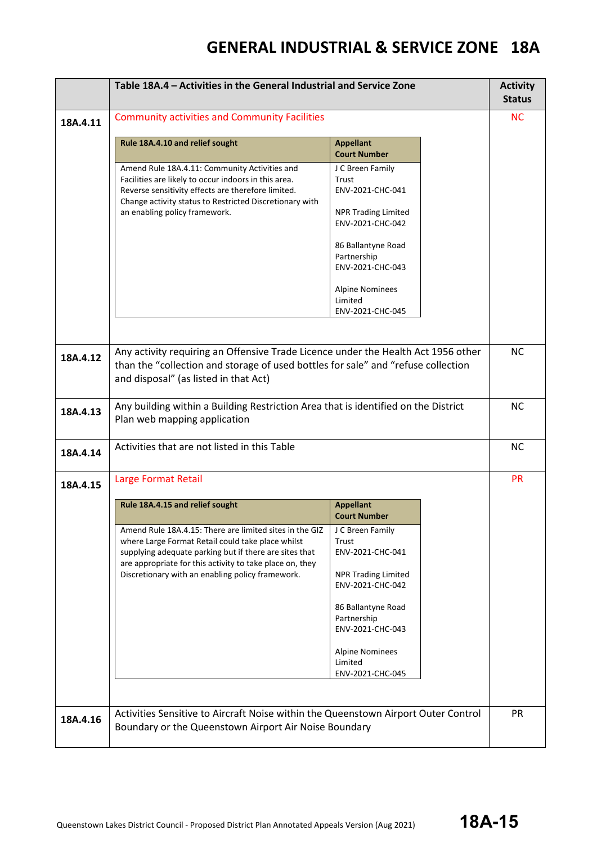|          | Table 18A.4 - Activities in the General Industrial and Service Zone                                                                                                                                                                                                                    |                                                                                                                |  | <b>Activity</b><br><b>Status</b> |
|----------|----------------------------------------------------------------------------------------------------------------------------------------------------------------------------------------------------------------------------------------------------------------------------------------|----------------------------------------------------------------------------------------------------------------|--|----------------------------------|
| 18A.4.11 | <b>Community activities and Community Facilities</b>                                                                                                                                                                                                                                   |                                                                                                                |  | <b>NC</b>                        |
|          | Rule 18A.4.10 and relief sought                                                                                                                                                                                                                                                        | <b>Appellant</b><br><b>Court Number</b>                                                                        |  |                                  |
|          | Amend Rule 18A.4.11: Community Activities and<br>Facilities are likely to occur indoors in this area.<br>Reverse sensitivity effects are therefore limited.<br>Change activity status to Restricted Discretionary with<br>an enabling policy framework.                                | J C Breen Family<br>Trust<br>ENV-2021-CHC-041<br><b>NPR Trading Limited</b><br>ENV-2021-CHC-042                |  |                                  |
|          |                                                                                                                                                                                                                                                                                        | 86 Ballantyne Road<br>Partnership<br>ENV-2021-CHC-043                                                          |  |                                  |
|          |                                                                                                                                                                                                                                                                                        | <b>Alpine Nominees</b><br>Limited<br>ENV-2021-CHC-045                                                          |  |                                  |
| 18A.4.12 | Any activity requiring an Offensive Trade Licence under the Health Act 1956 other<br>than the "collection and storage of used bottles for sale" and "refuse collection<br>and disposal" (as listed in that Act)                                                                        |                                                                                                                |  | <b>NC</b>                        |
| 18A.4.13 | Any building within a Building Restriction Area that is identified on the District<br>Plan web mapping application                                                                                                                                                                     |                                                                                                                |  | <b>NC</b>                        |
| 18A.4.14 | Activities that are not listed in this Table                                                                                                                                                                                                                                           |                                                                                                                |  | <b>NC</b>                        |
| 18A.4.15 | Large Format Retail                                                                                                                                                                                                                                                                    |                                                                                                                |  | <b>PR</b>                        |
|          | Rule 18A.4.15 and relief sought                                                                                                                                                                                                                                                        | <b>Appellant</b><br><b>Court Number</b>                                                                        |  |                                  |
|          | Amend Rule 18A.4.15: There are limited sites in the GIZ<br>where Large Format Retail could take place whilst<br>supplying adequate parking but if there are sites that<br>are appropriate for this activity to take place on, they<br>Discretionary with an enabling policy framework. | J C Breen Family<br>Trust<br>ENV-2021-CHC-041<br><b>NPR Trading Limited</b><br>ENV-2021-CHC-042                |  |                                  |
|          |                                                                                                                                                                                                                                                                                        | 86 Ballantyne Road<br>Partnership<br>ENV-2021-CHC-043<br><b>Alpine Nominees</b><br>Limited<br>ENV-2021-CHC-045 |  |                                  |
| 18A.4.16 | Activities Sensitive to Aircraft Noise within the Queenstown Airport Outer Control<br>Boundary or the Queenstown Airport Air Noise Boundary                                                                                                                                            |                                                                                                                |  | <b>PR</b>                        |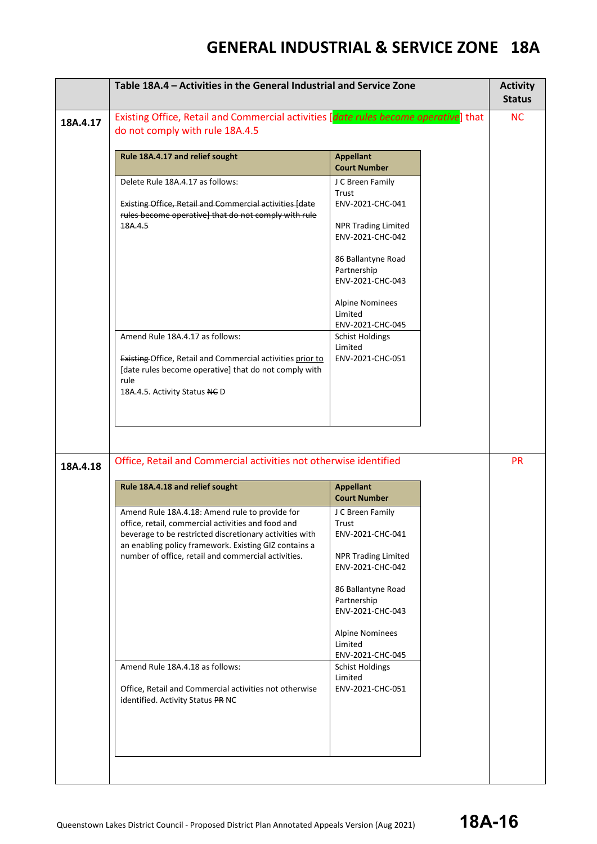|          | Table 18A.4 - Activities in the General Industrial and Service Zone                                                                                                                                                      |                                                       | <b>Activity</b><br><b>Status</b> |
|----------|--------------------------------------------------------------------------------------------------------------------------------------------------------------------------------------------------------------------------|-------------------------------------------------------|----------------------------------|
| 18A.4.17 | Existing Office, Retail and Commercial activities [date rules become operative] that<br>do not comply with rule 18A.4.5                                                                                                  |                                                       | <b>NC</b>                        |
|          | Rule 18A.4.17 and relief sought                                                                                                                                                                                          | <b>Appellant</b><br><b>Court Number</b>               |                                  |
|          | Delete Rule 18A.4.17 as follows:                                                                                                                                                                                         | J C Breen Family                                      |                                  |
|          | <b>Existing Office, Retail and Commercial activities [date</b><br>rules become operative] that do not comply with rule                                                                                                   | Trust<br>ENV-2021-CHC-041                             |                                  |
|          | 18A.4.5                                                                                                                                                                                                                  | <b>NPR Trading Limited</b><br>ENV-2021-CHC-042        |                                  |
|          |                                                                                                                                                                                                                          | 86 Ballantyne Road<br>Partnership<br>ENV-2021-CHC-043 |                                  |
|          |                                                                                                                                                                                                                          | <b>Alpine Nominees</b><br>Limited<br>ENV-2021-CHC-045 |                                  |
|          | Amend Rule 18A.4.17 as follows:                                                                                                                                                                                          | <b>Schist Holdings</b><br>Limited                     |                                  |
|          | Existing Office, Retail and Commercial activities prior to<br>[date rules become operative] that do not comply with<br>rule<br>18A.4.5. Activity Status NC D                                                             | ENV-2021-CHC-051                                      |                                  |
| 18A.4.18 | Office, Retail and Commercial activities not otherwise identified                                                                                                                                                        |                                                       | <b>PR</b>                        |
|          | Rule 18A.4.18 and relief sought                                                                                                                                                                                          | <b>Appellant</b><br><b>Court Number</b>               |                                  |
|          | Amend Rule 18A.4.18: Amend rule to provide for<br>office, retail, commercial activities and food and<br>beverage to be restricted discretionary activities with<br>an enabling policy framework. Existing GIZ contains a | J C Breen Family<br>Trust<br>ENV-2021-CHC-041         |                                  |
|          | number of office, retail and commercial activities.                                                                                                                                                                      | <b>NPR Trading Limited</b><br>ENV-2021-CHC-042        |                                  |
|          |                                                                                                                                                                                                                          | 86 Ballantyne Road<br>Partnership<br>ENV-2021-CHC-043 |                                  |
|          |                                                                                                                                                                                                                          | <b>Alpine Nominees</b><br>Limited<br>ENV-2021-CHC-045 |                                  |
|          | Amend Rule 18A.4.18 as follows:                                                                                                                                                                                          | <b>Schist Holdings</b><br>Limited                     |                                  |
|          | Office, Retail and Commercial activities not otherwise<br>identified. Activity Status PR NC                                                                                                                              | ENV-2021-CHC-051                                      |                                  |
|          |                                                                                                                                                                                                                          |                                                       |                                  |
|          |                                                                                                                                                                                                                          |                                                       |                                  |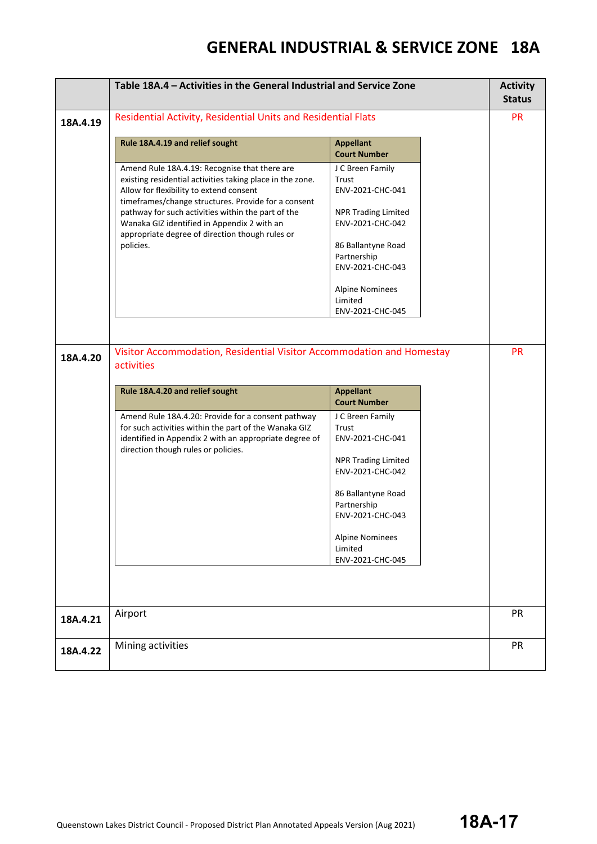|          | Table 18A.4 - Activities in the General Industrial and Service Zone                                                                                                                                                                                                                                                                                                               |                                                                                                                                                                                                                   |  | <b>Activity</b><br><b>Status</b> |
|----------|-----------------------------------------------------------------------------------------------------------------------------------------------------------------------------------------------------------------------------------------------------------------------------------------------------------------------------------------------------------------------------------|-------------------------------------------------------------------------------------------------------------------------------------------------------------------------------------------------------------------|--|----------------------------------|
| 18A.4.19 | Residential Activity, Residential Units and Residential Flats                                                                                                                                                                                                                                                                                                                     |                                                                                                                                                                                                                   |  |                                  |
|          | Rule 18A.4.19 and relief sought                                                                                                                                                                                                                                                                                                                                                   | <b>Appellant</b><br><b>Court Number</b>                                                                                                                                                                           |  |                                  |
|          | Amend Rule 18A.4.19: Recognise that there are<br>existing residential activities taking place in the zone.<br>Allow for flexibility to extend consent<br>timeframes/change structures. Provide for a consent<br>pathway for such activities within the part of the<br>Wanaka GIZ identified in Appendix 2 with an<br>appropriate degree of direction though rules or<br>policies. | J C Breen Family<br>Trust<br>ENV-2021-CHC-041<br><b>NPR Trading Limited</b><br>ENV-2021-CHC-042<br>86 Ballantyne Road<br>Partnership<br>ENV-2021-CHC-043<br><b>Alpine Nominees</b><br>Limited<br>ENV-2021-CHC-045 |  |                                  |
| 18A.4.20 | Visitor Accommodation, Residential Visitor Accommodation and Homestay<br>activities                                                                                                                                                                                                                                                                                               |                                                                                                                                                                                                                   |  | <b>PR</b>                        |
|          | Rule 18A.4.20 and relief sought                                                                                                                                                                                                                                                                                                                                                   | <b>Appellant</b><br><b>Court Number</b>                                                                                                                                                                           |  |                                  |
|          | Amend Rule 18A.4.20: Provide for a consent pathway<br>for such activities within the part of the Wanaka GIZ<br>identified in Appendix 2 with an appropriate degree of<br>direction though rules or policies.                                                                                                                                                                      | J C Breen Family<br>Trust<br>ENV-2021-CHC-041<br><b>NPR Trading Limited</b><br>ENV-2021-CHC-042<br>86 Ballantyne Road<br>Partnership<br>ENV-2021-CHC-043<br><b>Alpine Nominees</b><br>Limited<br>ENV-2021-CHC-045 |  |                                  |
|          |                                                                                                                                                                                                                                                                                                                                                                                   |                                                                                                                                                                                                                   |  |                                  |
| 18A.4.21 | Airport                                                                                                                                                                                                                                                                                                                                                                           |                                                                                                                                                                                                                   |  | PR                               |
| 18A.4.22 | Mining activities                                                                                                                                                                                                                                                                                                                                                                 |                                                                                                                                                                                                                   |  | PR                               |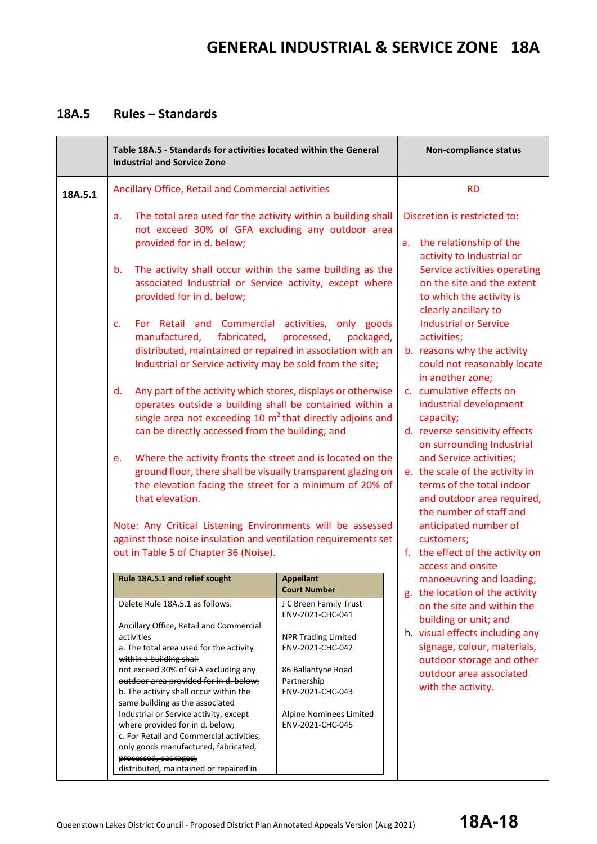### **18A.5 Rules – Standards**

|         | Table 18A.5 - Standards for activities located within the General<br><b>Industrial and Service Zone</b>                                                                                                                                                                                                                                                                                                                                                                                                                                                         |                                                                                                                                                                                                      | <b>Non-compliance status</b>                                                                                                                                                                        |
|---------|-----------------------------------------------------------------------------------------------------------------------------------------------------------------------------------------------------------------------------------------------------------------------------------------------------------------------------------------------------------------------------------------------------------------------------------------------------------------------------------------------------------------------------------------------------------------|------------------------------------------------------------------------------------------------------------------------------------------------------------------------------------------------------|-----------------------------------------------------------------------------------------------------------------------------------------------------------------------------------------------------|
| 18A.5.1 | Ancillary Office, Retail and Commercial activities                                                                                                                                                                                                                                                                                                                                                                                                                                                                                                              |                                                                                                                                                                                                      | <b>RD</b>                                                                                                                                                                                           |
|         | The total area used for the activity within a building shall<br>a.<br>not exceed 30% of GFA excluding any outdoor area<br>provided for in d. below;                                                                                                                                                                                                                                                                                                                                                                                                             |                                                                                                                                                                                                      | Discretion is restricted to:<br>the relationship of the<br>a.<br>activity to Industrial or                                                                                                          |
|         | The activity shall occur within the same building as the<br>$b_{\cdot}$<br>associated Industrial or Service activity, except where<br>provided for in d. below;                                                                                                                                                                                                                                                                                                                                                                                                 |                                                                                                                                                                                                      | Service activities operating<br>on the site and the extent<br>to which the activity is<br>clearly ancillary to                                                                                      |
|         | For Retail and Commercial activities, only goods<br>$C_{\star}$<br>fabricated,<br>manufactured,<br>distributed, maintained or repaired in association with an<br>Industrial or Service activity may be sold from the site;                                                                                                                                                                                                                                                                                                                                      | processed,<br>packaged,                                                                                                                                                                              | <b>Industrial or Service</b><br>activities;<br>b. reasons why the activity<br>could not reasonably locate<br>in another zone;                                                                       |
|         | Any part of the activity which stores, displays or otherwise<br>$d_{\cdot}$<br>operates outside a building shall be contained within a<br>single area not exceeding 10 $m2$ that directly adjoins and<br>can be directly accessed from the building; and                                                                                                                                                                                                                                                                                                        |                                                                                                                                                                                                      | c. cumulative effects on<br>industrial development<br>capacity;<br>d. reverse sensitivity effects<br>on surrounding Industrial                                                                      |
|         | Where the activity fronts the street and is located on the<br>e.<br>ground floor, there shall be visually transparent glazing on<br>the elevation facing the street for a minimum of 20% of<br>that elevation.                                                                                                                                                                                                                                                                                                                                                  |                                                                                                                                                                                                      | and Service activities;<br>e. the scale of the activity in<br>terms of the total indoor<br>and outdoor area required,<br>the number of staff and                                                    |
|         | out in Table 5 of Chapter 36 (Noise).                                                                                                                                                                                                                                                                                                                                                                                                                                                                                                                           | Note: Any Critical Listening Environments will be assessed<br>against those noise insulation and ventilation requirements set                                                                        |                                                                                                                                                                                                     |
|         | Rule 18A.5.1 and relief sought                                                                                                                                                                                                                                                                                                                                                                                                                                                                                                                                  | <b>Appellant</b><br><b>Court Number</b>                                                                                                                                                              | manoeuvring and loading;<br>g. the location of the activity                                                                                                                                         |
|         | Delete Rule 18A.5.1 as follows:<br>Ancillary Office, Retail and Commercial<br>activities<br>a. The total area used for the activity<br>within a building shall<br>not exceed 30% of GFA excluding any<br>outdoor area provided for in d. below;<br>b. The activity shall occur within the<br>same building as the associated<br>Industrial or Service activity, except<br>where provided for in d. below;<br>c. For Retail and Commercial activities,<br>only goods manufactured, fabricated,<br>processed, packaged,<br>distributed, maintained or repaired in | J C Breen Family Trust<br>ENV-2021-CHC-041<br><b>NPR Trading Limited</b><br>ENV-2021-CHC-042<br>86 Ballantyne Road<br>Partnership<br>ENV-2021-CHC-043<br>Alpine Nominees Limited<br>ENV-2021-CHC-045 | on the site and within the<br>building or unit; and<br>h. visual effects including any<br>signage, colour, materials,<br>outdoor storage and other<br>outdoor area associated<br>with the activity. |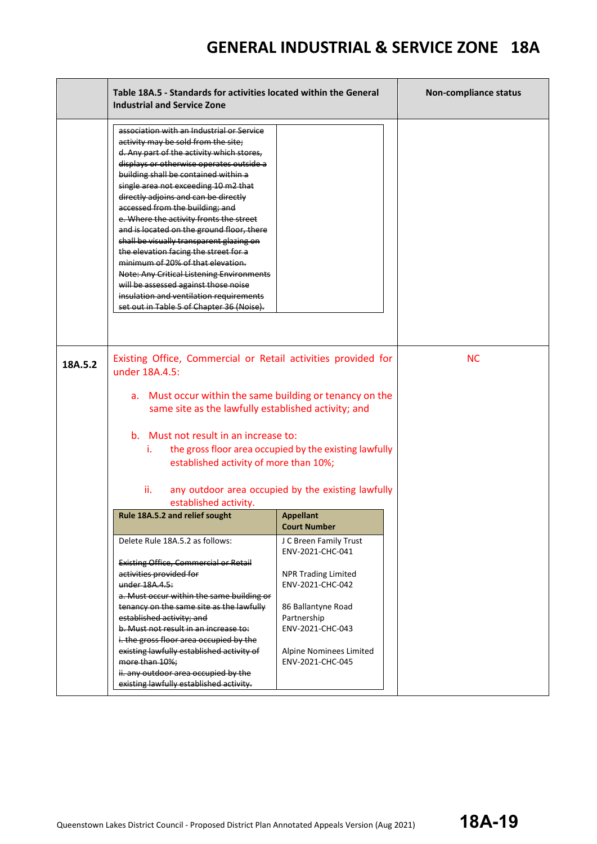|         | Table 18A.5 - Standards for activities located within the General<br><b>Industrial and Service Zone</b>                                                                                                                                                                                                                                                                                                                                                                                                                                                                                                                                                                                                                                    |                                                        | <b>Non-compliance status</b> |
|---------|--------------------------------------------------------------------------------------------------------------------------------------------------------------------------------------------------------------------------------------------------------------------------------------------------------------------------------------------------------------------------------------------------------------------------------------------------------------------------------------------------------------------------------------------------------------------------------------------------------------------------------------------------------------------------------------------------------------------------------------------|--------------------------------------------------------|------------------------------|
|         | association with an Industrial or Service<br>activity may be sold from the site;<br>d. Any part of the activity which stores,<br>displays or otherwise operates outside a<br>building shall be contained within a<br>single area not exceeding 10 m2 that<br>directly adjoins and can be directly<br>accessed from the building; and<br>e. Where the activity fronts the street<br>and is located on the ground floor, there<br>shall be visually transparent glazing on<br>the elevation facing the street for a<br>minimum of 20% of that elevation.<br><b>Note: Any Critical Listening Environments</b><br>will be assessed against those noise<br>insulation and ventilation requirements<br>set out in Table 5 of Chapter 36 (Noise). |                                                        |                              |
| 18A.5.2 | Existing Office, Commercial or Retail activities provided for<br>under 18A.4.5:                                                                                                                                                                                                                                                                                                                                                                                                                                                                                                                                                                                                                                                            |                                                        | <b>NC</b>                    |
|         | a. Must occur within the same building or tenancy on the<br>same site as the lawfully established activity; and                                                                                                                                                                                                                                                                                                                                                                                                                                                                                                                                                                                                                            |                                                        |                              |
|         | b. Must not result in an increase to:<br>Ť.<br>established activity of more than 10%;                                                                                                                                                                                                                                                                                                                                                                                                                                                                                                                                                                                                                                                      | the gross floor area occupied by the existing lawfully |                              |
|         | ii.<br>established activity.                                                                                                                                                                                                                                                                                                                                                                                                                                                                                                                                                                                                                                                                                                               | any outdoor area occupied by the existing lawfully     |                              |
|         | Rule 18A.5.2 and relief sought                                                                                                                                                                                                                                                                                                                                                                                                                                                                                                                                                                                                                                                                                                             | <b>Appellant</b><br><b>Court Number</b>                |                              |
|         | Delete Rule 18A.5.2 as follows:                                                                                                                                                                                                                                                                                                                                                                                                                                                                                                                                                                                                                                                                                                            | J C Breen Family Trust<br>ENV-2021-CHC-041             |                              |
|         | <b>Existing Office, Commercial or Retail</b><br>activities provided for<br>under 18A.4.5:<br>a. Must occur within the same building or                                                                                                                                                                                                                                                                                                                                                                                                                                                                                                                                                                                                     | <b>NPR Trading Limited</b><br>ENV-2021-CHC-042         |                              |
|         | tenancy on the same site as the lawfully<br>established activity; and<br>b. Must not result in an increase to:<br>i. the gross floor area occupied by the                                                                                                                                                                                                                                                                                                                                                                                                                                                                                                                                                                                  | 86 Ballantyne Road<br>Partnership<br>ENV-2021-CHC-043  |                              |
|         | existing lawfully established activity of<br>more than 10%;<br>ii. any outdoor area occupied by the<br>existing lawfully established activity.                                                                                                                                                                                                                                                                                                                                                                                                                                                                                                                                                                                             | Alpine Nominees Limited<br>ENV-2021-CHC-045            |                              |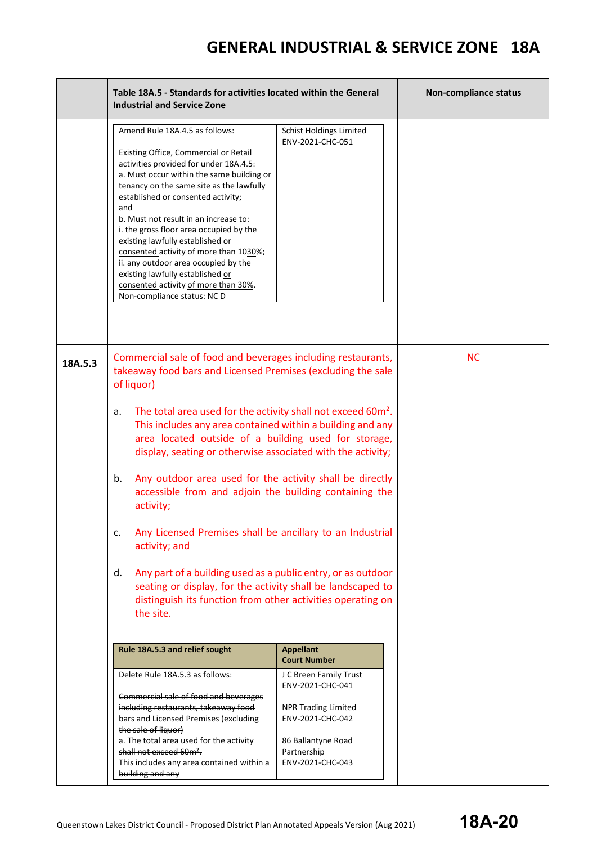|         | Table 18A.5 - Standards for activities located within the General<br><b>Industrial and Service Zone</b>                                                                                                                                                                                                                                                                                                                                                                                                                                                                                                                                                                                                                                                                                                                                                         |                                                                                                                                                                                                  | Non-compliance status |
|---------|-----------------------------------------------------------------------------------------------------------------------------------------------------------------------------------------------------------------------------------------------------------------------------------------------------------------------------------------------------------------------------------------------------------------------------------------------------------------------------------------------------------------------------------------------------------------------------------------------------------------------------------------------------------------------------------------------------------------------------------------------------------------------------------------------------------------------------------------------------------------|--------------------------------------------------------------------------------------------------------------------------------------------------------------------------------------------------|-----------------------|
|         | Amend Rule 18A.4.5 as follows:<br>Existing Office, Commercial or Retail<br>activities provided for under 18A.4.5:<br>a. Must occur within the same building or<br>tenancy on the same site as the lawfully<br>established or consented activity;<br>and<br>b. Must not result in an increase to:<br>i. the gross floor area occupied by the<br>existing lawfully established or<br>consented activity of more than 1030%;<br>ii. any outdoor area occupied by the<br>existing lawfully established or<br>consented activity of more than 30%.<br>Non-compliance status: NCD                                                                                                                                                                                                                                                                                     | <b>Schist Holdings Limited</b><br>ENV-2021-CHC-051                                                                                                                                               |                       |
| 18A.5.3 | Commercial sale of food and beverages including restaurants,<br>takeaway food bars and Licensed Premises (excluding the sale<br>of liquor)<br>The total area used for the activity shall not exceed 60m <sup>2</sup> .<br>a.<br>This includes any area contained within a building and any<br>area located outside of a building used for storage,<br>display, seating or otherwise associated with the activity;<br>Any outdoor area used for the activity shall be directly<br>b.<br>accessible from and adjoin the building containing the<br>activity;<br>Any Licensed Premises shall be ancillary to an Industrial<br>c.<br>activity; and<br>Any part of a building used as a public entry, or as outdoor<br>d.<br>seating or display, for the activity shall be landscaped to<br>distinguish its function from other activities operating on<br>the site. |                                                                                                                                                                                                  | <b>NC</b>             |
|         | Rule 18A.5.3 and relief sought<br>Delete Rule 18A.5.3 as follows:<br>Commercial sale of food and beverages<br>including restaurants, takeaway food<br>bars and Licensed Premises (excluding<br>the sale of liquor)<br>a. The total area used for the activity<br>shall not exceed 60m <sup>2</sup> .<br>This includes any area contained within a<br>building and any                                                                                                                                                                                                                                                                                                                                                                                                                                                                                           | <b>Appellant</b><br><b>Court Number</b><br>J C Breen Family Trust<br>ENV-2021-CHC-041<br><b>NPR Trading Limited</b><br>ENV-2021-CHC-042<br>86 Ballantyne Road<br>Partnership<br>ENV-2021-CHC-043 |                       |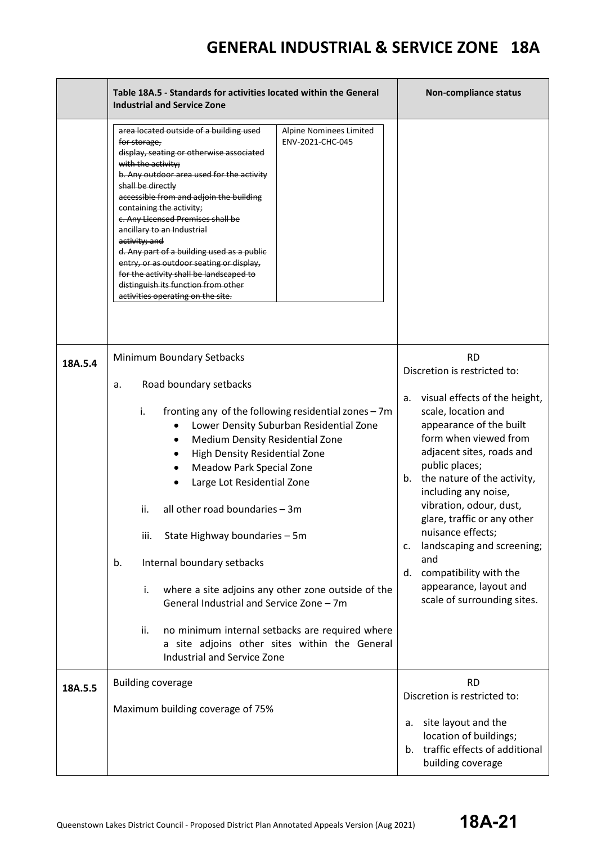|         | Table 18A.5 - Standards for activities located within the General<br><b>Industrial and Service Zone</b>                                                                                                                                                                                                                                                                                                                                                                                                                                                                                                                                                                              | <b>Non-compliance status</b>                                                                                                                                                                                                                                                                                                                                                                                                                                                               |
|---------|--------------------------------------------------------------------------------------------------------------------------------------------------------------------------------------------------------------------------------------------------------------------------------------------------------------------------------------------------------------------------------------------------------------------------------------------------------------------------------------------------------------------------------------------------------------------------------------------------------------------------------------------------------------------------------------|--------------------------------------------------------------------------------------------------------------------------------------------------------------------------------------------------------------------------------------------------------------------------------------------------------------------------------------------------------------------------------------------------------------------------------------------------------------------------------------------|
|         | area located outside of a building used<br>Alpine Nominees Limited<br>ENV-2021-CHC-045<br>for storage,<br>display, seating or otherwise associated<br>with the activity;<br>b. Any outdoor area used for the activity<br>shall be directly<br>accessible from and adjoin the building<br>containing the activity;<br>c. Any Licensed Premises shall be<br>ancillary to an Industrial<br>activity; and<br>d. Any part of a building used as a public<br>entry, or as outdoor seating or display,<br>for the activity shall be landscaped to<br>distinguish its function from other<br>activities operating on the site.                                                               |                                                                                                                                                                                                                                                                                                                                                                                                                                                                                            |
| 18A.5.4 | Minimum Boundary Setbacks<br>Road boundary setbacks<br>a.<br>i.<br>fronting any of the following residential zones - 7m<br>Lower Density Suburban Residential Zone<br>Medium Density Residential Zone<br>٠<br>High Density Residential Zone<br><b>Meadow Park Special Zone</b><br>Large Lot Residential Zone<br>all other road boundaries - 3m<br>ii.<br>iii.<br>State Highway boundaries - 5m<br>Internal boundary setbacks<br>b.<br>where a site adjoins any other zone outside of the<br>i.<br>General Industrial and Service Zone - 7m<br>ii.<br>no minimum internal setbacks are required where<br>a site adjoins other sites within the General<br>Industrial and Service Zone | <b>RD</b><br>Discretion is restricted to:<br>visual effects of the height,<br>a.<br>scale, location and<br>appearance of the built<br>form when viewed from<br>adjacent sites, roads and<br>public places;<br>the nature of the activity,<br>b.<br>including any noise,<br>vibration, odour, dust,<br>glare, traffic or any other<br>nuisance effects;<br>landscaping and screening;<br>c.<br>and<br>compatibility with the<br>d.<br>appearance, layout and<br>scale of surrounding sites. |
| 18A.5.5 | <b>Building coverage</b><br>Maximum building coverage of 75%                                                                                                                                                                                                                                                                                                                                                                                                                                                                                                                                                                                                                         | <b>RD</b><br>Discretion is restricted to:<br>site layout and the<br>а.<br>location of buildings;<br>traffic effects of additional<br>b.<br>building coverage                                                                                                                                                                                                                                                                                                                               |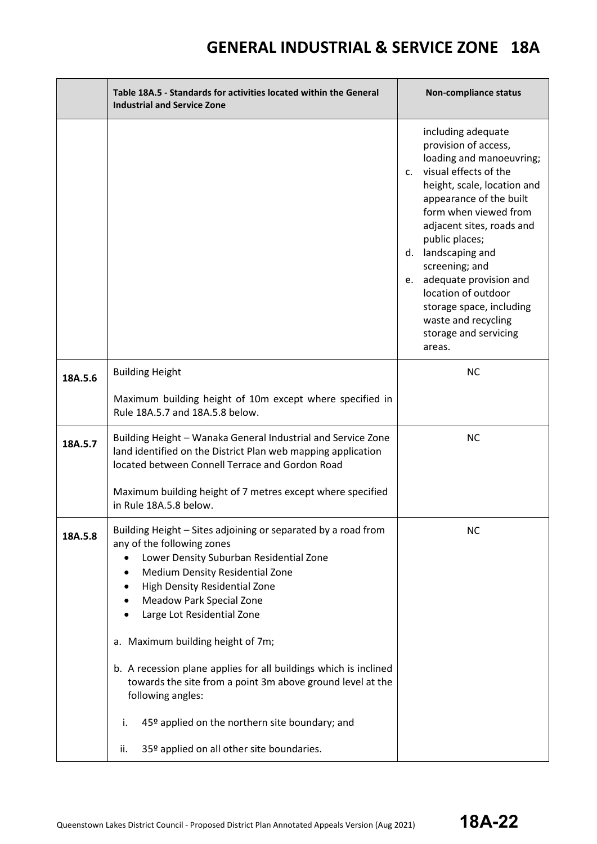|         | Table 18A.5 - Standards for activities located within the General<br><b>Industrial and Service Zone</b>                                                                                                                                                                                                                                                                                                                                                                                                                         | Non-compliance status                                                                                                                                                                                                                                                                                                                                                                                                  |
|---------|---------------------------------------------------------------------------------------------------------------------------------------------------------------------------------------------------------------------------------------------------------------------------------------------------------------------------------------------------------------------------------------------------------------------------------------------------------------------------------------------------------------------------------|------------------------------------------------------------------------------------------------------------------------------------------------------------------------------------------------------------------------------------------------------------------------------------------------------------------------------------------------------------------------------------------------------------------------|
|         |                                                                                                                                                                                                                                                                                                                                                                                                                                                                                                                                 | including adequate<br>provision of access,<br>loading and manoeuvring;<br>c. visual effects of the<br>height, scale, location and<br>appearance of the built<br>form when viewed from<br>adjacent sites, roads and<br>public places;<br>d. landscaping and<br>screening; and<br>e. adequate provision and<br>location of outdoor<br>storage space, including<br>waste and recycling<br>storage and servicing<br>areas. |
| 18A.5.6 | <b>Building Height</b>                                                                                                                                                                                                                                                                                                                                                                                                                                                                                                          | <b>NC</b>                                                                                                                                                                                                                                                                                                                                                                                                              |
|         | Maximum building height of 10m except where specified in<br>Rule 18A.5.7 and 18A.5.8 below.                                                                                                                                                                                                                                                                                                                                                                                                                                     |                                                                                                                                                                                                                                                                                                                                                                                                                        |
| 18A.5.7 | Building Height - Wanaka General Industrial and Service Zone<br>land identified on the District Plan web mapping application<br>located between Connell Terrace and Gordon Road                                                                                                                                                                                                                                                                                                                                                 | <b>NC</b>                                                                                                                                                                                                                                                                                                                                                                                                              |
|         | Maximum building height of 7 metres except where specified<br>in Rule 18A.5.8 below.                                                                                                                                                                                                                                                                                                                                                                                                                                            |                                                                                                                                                                                                                                                                                                                                                                                                                        |
| 18A.5.8 | Building Height - Sites adjoining or separated by a road from<br>any of the following zones<br>Lower Density Suburban Residential Zone<br>Medium Density Residential Zone<br>High Density Residential Zone<br><b>Meadow Park Special Zone</b><br>Large Lot Residential Zone<br>a. Maximum building height of 7m;<br>b. A recession plane applies for all buildings which is inclined<br>towards the site from a point 3m above ground level at the<br>following angles:<br>45º applied on the northern site boundary; and<br>i. | <b>NC</b>                                                                                                                                                                                                                                                                                                                                                                                                              |
|         | 35º applied on all other site boundaries.<br>ii.                                                                                                                                                                                                                                                                                                                                                                                                                                                                                |                                                                                                                                                                                                                                                                                                                                                                                                                        |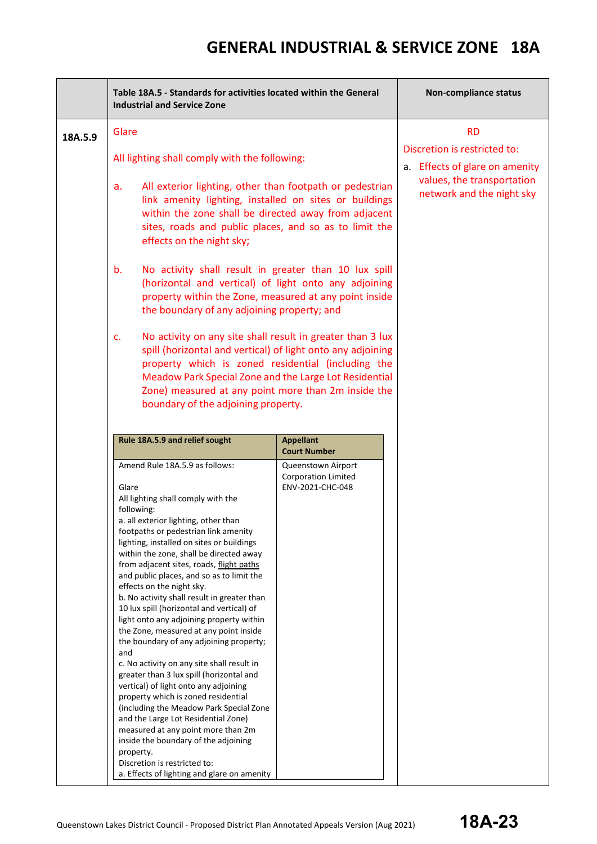|         | Table 18A.5 - Standards for activities located within the General<br><b>Industrial and Service Zone</b>                                                                                                                                                                                                                                                                                                                                                                                                                                                                                                                                                                                                                                                                                                                                                                                                                                                                                                                                                             | <b>Non-compliance status</b>                                                                |                                                                                                                           |
|---------|---------------------------------------------------------------------------------------------------------------------------------------------------------------------------------------------------------------------------------------------------------------------------------------------------------------------------------------------------------------------------------------------------------------------------------------------------------------------------------------------------------------------------------------------------------------------------------------------------------------------------------------------------------------------------------------------------------------------------------------------------------------------------------------------------------------------------------------------------------------------------------------------------------------------------------------------------------------------------------------------------------------------------------------------------------------------|---------------------------------------------------------------------------------------------|---------------------------------------------------------------------------------------------------------------------------|
| 18A.5.9 | Glare                                                                                                                                                                                                                                                                                                                                                                                                                                                                                                                                                                                                                                                                                                                                                                                                                                                                                                                                                                                                                                                               |                                                                                             | <b>RD</b>                                                                                                                 |
|         | All lighting shall comply with the following:                                                                                                                                                                                                                                                                                                                                                                                                                                                                                                                                                                                                                                                                                                                                                                                                                                                                                                                                                                                                                       |                                                                                             | Discretion is restricted to:<br>a. Effects of glare on amenity<br>values, the transportation<br>network and the night sky |
|         | All exterior lighting, other than footpath or pedestrian<br>a.<br>link amenity lighting, installed on sites or buildings<br>within the zone shall be directed away from adjacent<br>sites, roads and public places, and so as to limit the<br>effects on the night sky;                                                                                                                                                                                                                                                                                                                                                                                                                                                                                                                                                                                                                                                                                                                                                                                             |                                                                                             |                                                                                                                           |
|         | No activity shall result in greater than 10 lux spill<br>b.<br>(horizontal and vertical) of light onto any adjoining<br>property within the Zone, measured at any point inside<br>the boundary of any adjoining property; and                                                                                                                                                                                                                                                                                                                                                                                                                                                                                                                                                                                                                                                                                                                                                                                                                                       |                                                                                             |                                                                                                                           |
|         | No activity on any site shall result in greater than 3 lux<br>c.<br>spill (horizontal and vertical) of light onto any adjoining<br>property which is zoned residential (including the<br>Meadow Park Special Zone and the Large Lot Residential<br>Zone) measured at any point more than 2m inside the<br>boundary of the adjoining property.                                                                                                                                                                                                                                                                                                                                                                                                                                                                                                                                                                                                                                                                                                                       |                                                                                             |                                                                                                                           |
|         | Rule 18A.5.9 and relief sought                                                                                                                                                                                                                                                                                                                                                                                                                                                                                                                                                                                                                                                                                                                                                                                                                                                                                                                                                                                                                                      | <b>Appellant</b>                                                                            |                                                                                                                           |
|         | Amend Rule 18A.5.9 as follows:<br>Glare<br>All lighting shall comply with the<br>following:<br>a. all exterior lighting, other than<br>footpaths or pedestrian link amenity<br>lighting, installed on sites or buildings<br>within the zone, shall be directed away<br>from adjacent sites, roads, flight paths<br>and public places, and so as to limit the<br>effects on the night sky.<br>b. No activity shall result in greater than<br>10 lux spill (horizontal and vertical) of<br>light onto any adjoining property within<br>the Zone, measured at any point inside<br>the boundary of any adjoining property;<br>and<br>c. No activity on any site shall result in<br>greater than 3 lux spill (horizontal and<br>vertical) of light onto any adjoining<br>property which is zoned residential<br>(including the Meadow Park Special Zone<br>and the Large Lot Residential Zone)<br>measured at any point more than 2m<br>inside the boundary of the adjoining<br>property.<br>Discretion is restricted to:<br>a. Effects of lighting and glare on amenity | <b>Court Number</b><br>Queenstown Airport<br><b>Corporation Limited</b><br>ENV-2021-CHC-048 |                                                                                                                           |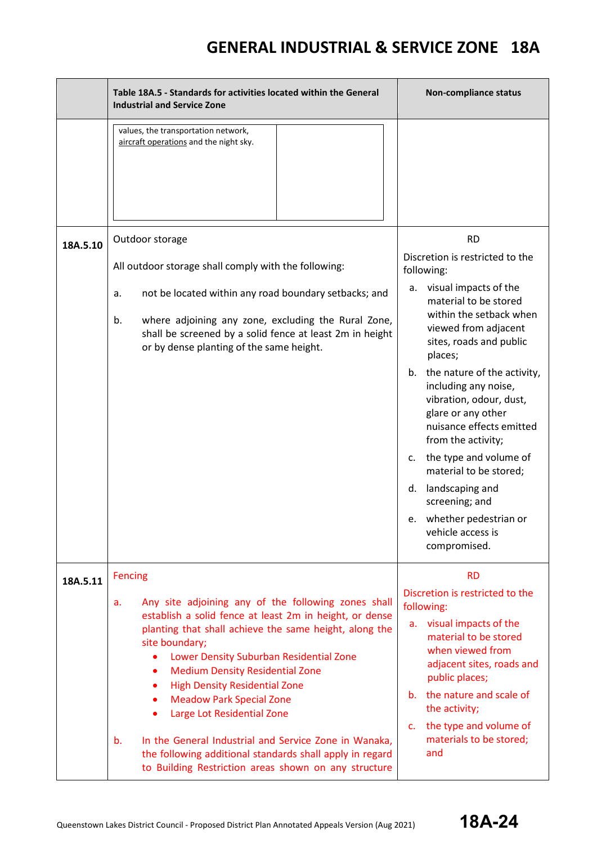|          | Table 18A.5 - Standards for activities located within the General<br><b>Industrial and Service Zone</b>                                                                                                                                                                                                                                                                                                                                                                                                                                                                                                       | <b>Non-compliance status</b>                                                                                                                                                                                                                                                                                                                                                                                                                                                                                                                   |
|----------|---------------------------------------------------------------------------------------------------------------------------------------------------------------------------------------------------------------------------------------------------------------------------------------------------------------------------------------------------------------------------------------------------------------------------------------------------------------------------------------------------------------------------------------------------------------------------------------------------------------|------------------------------------------------------------------------------------------------------------------------------------------------------------------------------------------------------------------------------------------------------------------------------------------------------------------------------------------------------------------------------------------------------------------------------------------------------------------------------------------------------------------------------------------------|
|          | values, the transportation network,<br>aircraft operations and the night sky.                                                                                                                                                                                                                                                                                                                                                                                                                                                                                                                                 |                                                                                                                                                                                                                                                                                                                                                                                                                                                                                                                                                |
| 18A.5.10 | Outdoor storage<br>All outdoor storage shall comply with the following:<br>not be located within any road boundary setbacks; and<br>a.<br>where adjoining any zone, excluding the Rural Zone,<br>b.<br>shall be screened by a solid fence at least 2m in height<br>or by dense planting of the same height.                                                                                                                                                                                                                                                                                                   | <b>RD</b><br>Discretion is restricted to the<br>following:<br>a. visual impacts of the<br>material to be stored<br>within the setback when<br>viewed from adjacent<br>sites, roads and public<br>places;<br>the nature of the activity,<br>b.<br>including any noise,<br>vibration, odour, dust,<br>glare or any other<br>nuisance effects emitted<br>from the activity;<br>the type and volume of<br>c.<br>material to be stored;<br>d. landscaping and<br>screening; and<br>whether pedestrian or<br>e.<br>vehicle access is<br>compromised. |
| 18A.5.11 | <b>Fencing</b><br>Any site adjoining any of the following zones shall<br>a.<br>establish a solid fence at least 2m in height, or dense<br>planting that shall achieve the same height, along the<br>site boundary;<br>Lower Density Suburban Residential Zone<br><b>Medium Density Residential Zone</b><br><b>High Density Residential Zone</b><br>٠<br><b>Meadow Park Special Zone</b><br>٠<br>Large Lot Residential Zone<br>b.<br>In the General Industrial and Service Zone in Wanaka,<br>the following additional standards shall apply in regard<br>to Building Restriction areas shown on any structure | <b>RD</b><br>Discretion is restricted to the<br>following:<br>a. visual impacts of the<br>material to be stored<br>when viewed from<br>adjacent sites, roads and<br>public places;<br>b. the nature and scale of<br>the activity;<br>the type and volume of<br>$C_{\star}$<br>materials to be stored;<br>and                                                                                                                                                                                                                                   |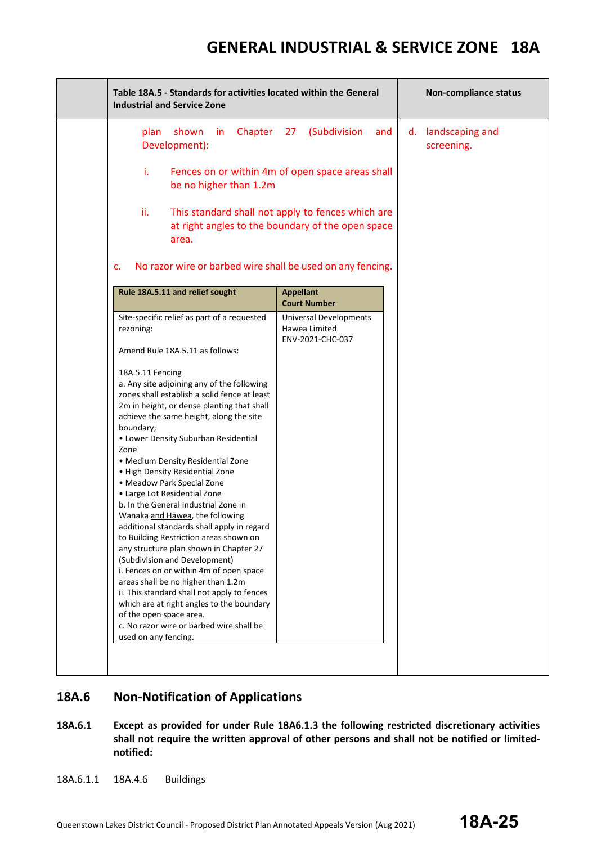| Table 18A.5 - Standards for activities located within the General<br><b>Industrial and Service Zone</b>                                                                                                                                                                                                                                                                                                                                                                                                                                                                                                                                                                                                                                                                                                                                                                                                                              |                                                                                                        | Non-compliance status               |
|--------------------------------------------------------------------------------------------------------------------------------------------------------------------------------------------------------------------------------------------------------------------------------------------------------------------------------------------------------------------------------------------------------------------------------------------------------------------------------------------------------------------------------------------------------------------------------------------------------------------------------------------------------------------------------------------------------------------------------------------------------------------------------------------------------------------------------------------------------------------------------------------------------------------------------------|--------------------------------------------------------------------------------------------------------|-------------------------------------|
| Chapter<br>shown<br>plan<br>in.<br>Development):                                                                                                                                                                                                                                                                                                                                                                                                                                                                                                                                                                                                                                                                                                                                                                                                                                                                                     | (Subdivision<br>27<br>and                                                                              | landscaping and<br>d.<br>screening. |
| i.<br>be no higher than 1.2m                                                                                                                                                                                                                                                                                                                                                                                                                                                                                                                                                                                                                                                                                                                                                                                                                                                                                                         | Fences on or within 4m of open space areas shall                                                       |                                     |
| ii.<br>area.                                                                                                                                                                                                                                                                                                                                                                                                                                                                                                                                                                                                                                                                                                                                                                                                                                                                                                                         | This standard shall not apply to fences which are<br>at right angles to the boundary of the open space |                                     |
| No razor wire or barbed wire shall be used on any fencing.<br>c.                                                                                                                                                                                                                                                                                                                                                                                                                                                                                                                                                                                                                                                                                                                                                                                                                                                                     |                                                                                                        |                                     |
| Rule 18A.5.11 and relief sought                                                                                                                                                                                                                                                                                                                                                                                                                                                                                                                                                                                                                                                                                                                                                                                                                                                                                                      | <b>Appellant</b><br><b>Court Number</b>                                                                |                                     |
| Site-specific relief as part of a requested<br>rezoning:                                                                                                                                                                                                                                                                                                                                                                                                                                                                                                                                                                                                                                                                                                                                                                                                                                                                             | <b>Universal Developments</b><br>Hawea Limited<br>ENV-2021-CHC-037                                     |                                     |
| Amend Rule 18A.5.11 as follows:                                                                                                                                                                                                                                                                                                                                                                                                                                                                                                                                                                                                                                                                                                                                                                                                                                                                                                      |                                                                                                        |                                     |
| 18A.5.11 Fencing<br>a. Any site adjoining any of the following<br>zones shall establish a solid fence at least<br>2m in height, or dense planting that shall<br>achieve the same height, along the site<br>boundary;<br>• Lower Density Suburban Residential<br>Zone<br>• Medium Density Residential Zone<br>• High Density Residential Zone<br>• Meadow Park Special Zone<br>• Large Lot Residential Zone<br>b. In the General Industrial Zone in<br>Wanaka and Hāwea, the following<br>additional standards shall apply in regard<br>to Building Restriction areas shown on<br>any structure plan shown in Chapter 27<br>(Subdivision and Development)<br>i. Fences on or within 4m of open space<br>areas shall be no higher than 1.2m<br>ii. This standard shall not apply to fences<br>which are at right angles to the boundary<br>of the open space area.<br>c. No razor wire or barbed wire shall be<br>used on any fencing. |                                                                                                        |                                     |
|                                                                                                                                                                                                                                                                                                                                                                                                                                                                                                                                                                                                                                                                                                                                                                                                                                                                                                                                      |                                                                                                        |                                     |

#### **18A.6 Non-Notification of Applications**

- **18A.6.1 Except as provided for under Rule 18A6.1.3 the following restricted discretionary activities shall not require the written approval of other persons and shall not be notified or limitednotified:**
- 18A.6.1.1 18A.4.6 Buildings